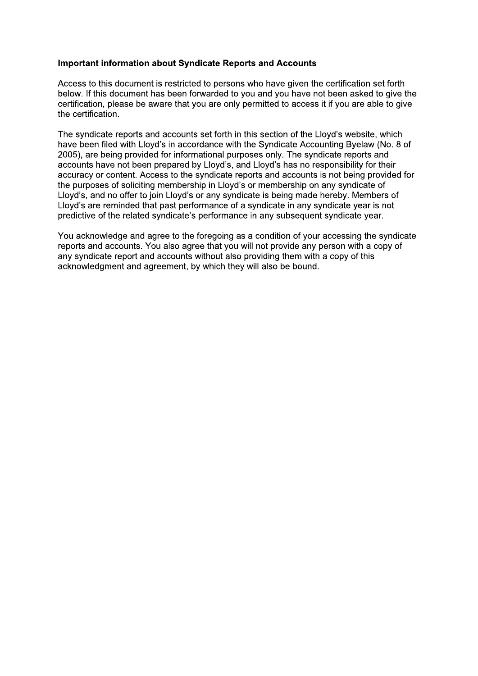## **Important information about Syndicate Reports and Accounts**

Access to this document is restricted to persons who have given the certification set forth below. If this document has been forwarded to you and you have not been asked to give the certification, please be aware that you are only permitted to access it if you are able to give the certification.

The syndicate reports and accounts set forth in this section of the Lloyd's website, which have been filed with Lloyd's in accordance with the Syndicate Accounting Byelaw (No. 8 of 2005), are being provided for informational purposes only. The syndicate reports and accounts have not been prepared by Lloyd's, and Lloyd's has no responsibility for their accuracy or content. Access to the syndicate reports and accounts is not being provided for the purposes of soliciting membership in Lloyd's or membership on any syndicate of Lloyd's, and no offer to join Lloyd's or any syndicate is being made hereby. Members of Lloyd's are reminded that past performance of a syndicate in any syndicate year is not predictive of the related syndicate's performance in any subsequent syndicate year.

You acknowledge and agree to the foregoing as a condition of your accessing the syndicate reports and accounts. You also agree that you will not provide any person with a copy of any syndicate report and accounts without also providing them with a copy of this acknowledgment and agreement, by which they will also be bound.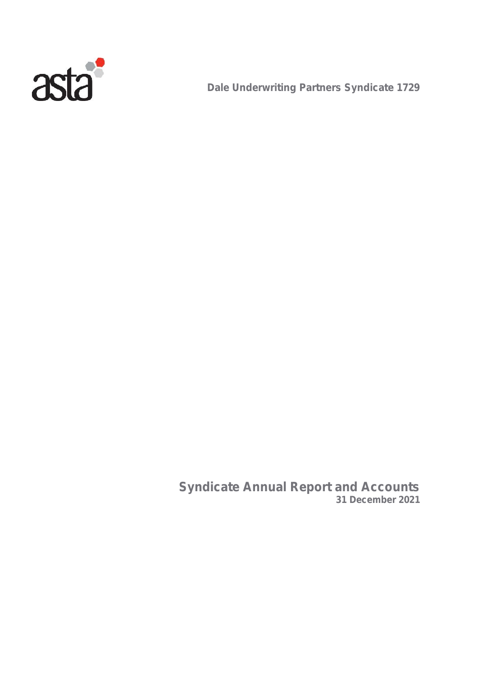

**Dale Underwriting Partners Syndicate 1729**

**Syndicate Annual Report and Accounts 31 December 2021**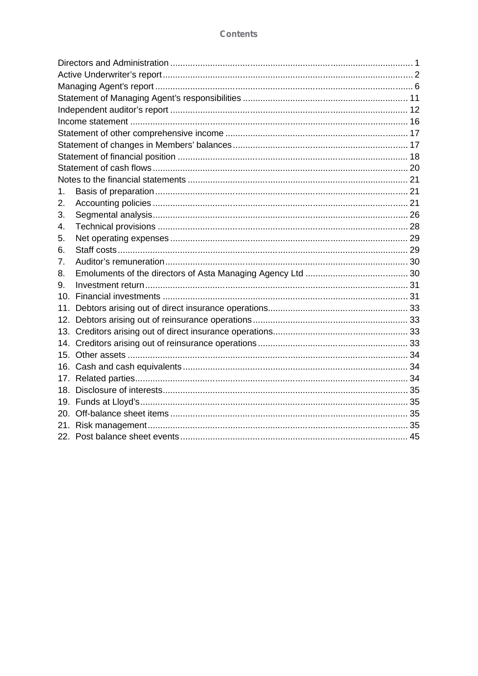| 1.  |  |
|-----|--|
| 2.  |  |
| 3.  |  |
| 4.  |  |
| 5.  |  |
| 6.  |  |
| 7.  |  |
| 8.  |  |
| 9.  |  |
| 10. |  |
| 11. |  |
| 12. |  |
|     |  |
|     |  |
|     |  |
|     |  |
| 17. |  |
|     |  |
|     |  |
|     |  |
|     |  |
|     |  |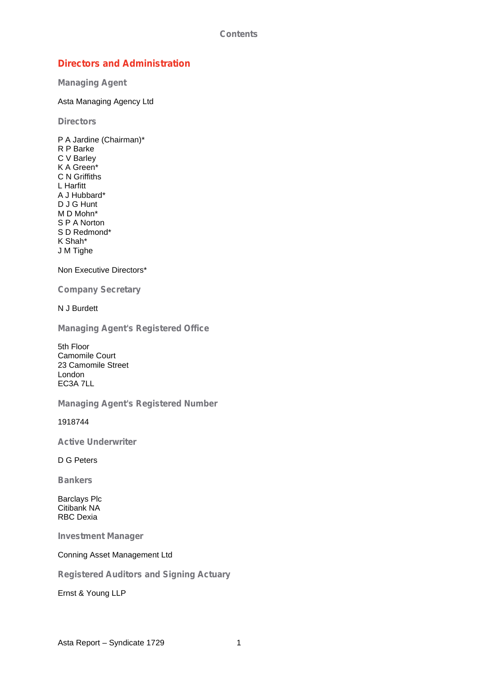## **Directors and Administration**

**Managing Agent**

Asta Managing Agency Ltd

**Directors**

P A Jardine (Chairman)\* R P Barke C V Barley K A Green\* C N Griffiths L Harfitt A J Hubbard\* D J G Hunt M D Mohn\* S P A Norton S D Redmond\* K Shah\* J M Tighe

Non Executive Directors\*

**Company Secretary**

N J Burdett

**Managing Agent's Registered Office**

5th Floor Camomile Court 23 Camomile Street London EC3A 7LL

**Managing Agent's Registered Number**

1918744

**Active Underwriter**

D G Peters

**Bankers**

Barclays Plc Citibank NA RBC Dexia

**Investment Manager**

Conning Asset Management Ltd

**Registered Auditors and Signing Actuary**

Ernst & Young LLP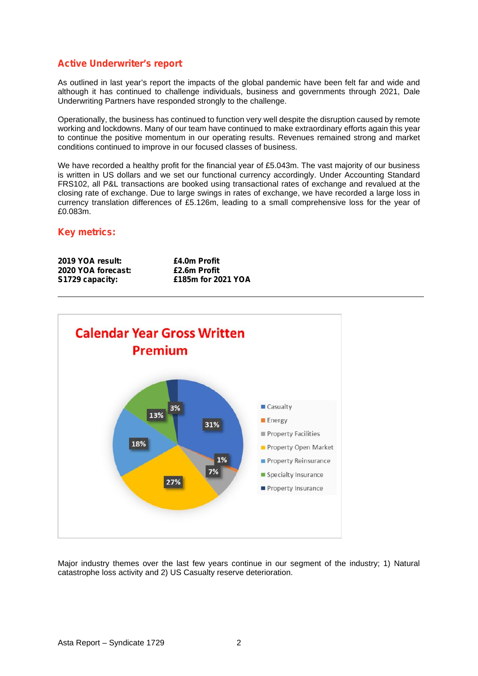## **Active Underwriter's report**

As outlined in last year's report the impacts of the global pandemic have been felt far and wide and although it has continued to challenge individuals, business and governments through 2021, Dale Underwriting Partners have responded strongly to the challenge.

Operationally, the business has continued to function very well despite the disruption caused by remote working and lockdowns. Many of our team have continued to make extraordinary efforts again this year to continue the positive momentum in our operating results. Revenues remained strong and market conditions continued to improve in our focused classes of business.

We have recorded a healthy profit for the financial year of £5.043m. The vast majority of our business is written in US dollars and we set our functional currency accordingly. Under Accounting Standard FRS102, all P&L transactions are booked using transactional rates of exchange and revalued at the closing rate of exchange. Due to large swings in rates of exchange, we have recorded a large loss in currency translation differences of £5.126m, leading to a small comprehensive loss for the year of £0.083m.

## **Key metrics:**

| 2019 YOA result:   | £4.0m Profit       |
|--------------------|--------------------|
| 2020 YOA forecast: | £2.6m Profit       |
| S1729 capacity:    | £185m for 2021 YOA |



Major industry themes over the last few years continue in our segment of the industry; 1) Natural catastrophe loss activity and 2) US Casualty reserve deterioration.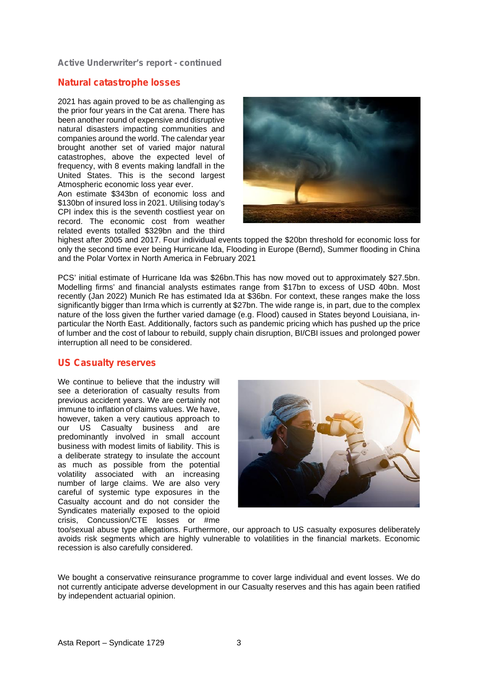**Active Underwriter's report - continued**

## **Natural catastrophe losses**

2021 has again proved to be as challenging as the prior four years in the Cat arena. There has been another round of expensive and disruptive natural disasters impacting communities and companies around the world. The calendar year brought another set of varied major natural catastrophes, above the expected level of frequency, with 8 events making landfall in the United States. This is the second largest Atmospheric economic loss year ever.

Aon estimate \$343bn of economic loss and \$130bn of insured loss in 2021. Utilising today's CPI index this is the seventh costliest year on record. The economic cost from weather related events totalled \$329bn and the third



highest after 2005 and 2017. Four individual events topped the \$20bn threshold for economic loss for only the second time ever being Hurricane Ida, Flooding in Europe (Bernd), Summer flooding in China and the Polar Vortex in North America in February 2021

PCS' initial estimate of Hurricane Ida was \$26bn.This has now moved out to approximately \$27.5bn. Modelling firms' and financial analysts estimates range from \$17bn to excess of USD 40bn. Most recently (Jan 2022) Munich Re has estimated Ida at \$36bn. For context, these ranges make the loss significantly bigger than Irma which is currently at \$27bn. The wide range is, in part, due to the complex nature of the loss given the further varied damage (e.g. Flood) caused in States beyond Louisiana, in particular the North East. Additionally, factors such as pandemic pricing which has pushed up the price of lumber and the cost of labour to rebuild, supply chain disruption, BI/CBI issues and prolonged power interruption all need to be considered.

## **US Casualty reserves**

We continue to believe that the industry will see a deterioration of casualty results from previous accident years. We are certainly not immune to inflation of claims values. We have, however, taken a very cautious approach to our US Casualty business and are predominantly involved in small account business with modest limits of liability. This is a deliberate strategy to insulate the account as much as possible from the potential volatility associated with an increasing number of large claims. We are also very careful of systemic type exposures in the Casualty account and do not consider the Syndicates materially exposed to the opioid crisis, Concussion/CTE losses or #me



too/sexual abuse type allegations. Furthermore, our approach to US casualty exposures deliberately avoids risk segments which are highly vulnerable to volatilities in the financial markets. Economic recession is also carefully considered.

We bought a conservative reinsurance programme to cover large individual and event losses. We do not currently anticipate adverse development in our Casualty reserves and this has again been ratified by independent actuarial opinion.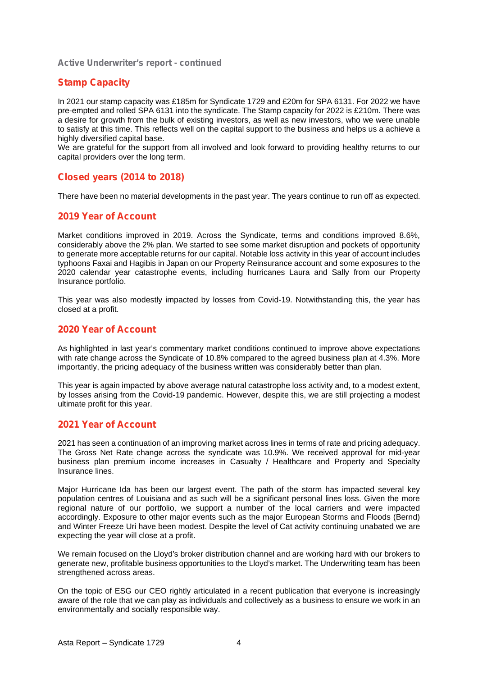**Active Underwriter's report - continued**

## **Stamp Capacity**

In 2021 our stamp capacity was £185m for Syndicate 1729 and £20m for SPA 6131. For 2022 we have pre-empted and rolled SPA 6131 into the syndicate. The Stamp capacity for 2022 is £210m. There was a desire for growth from the bulk of existing investors, as well as new investors, who we were unable to satisfy at this time. This reflects well on the capital support to the business and helps us a achieve a highly diversified capital base.

We are grateful for the support from all involved and look forward to providing healthy returns to our capital providers over the long term.

## **Closed years (2014 to 2018)**

There have been no material developments in the past year. The years continue to run off as expected.

## **2019 Year of Account**

Market conditions improved in 2019. Across the Syndicate, terms and conditions improved 8.6%, considerably above the 2% plan. We started to see some market disruption and pockets of opportunity to generate more acceptable returns for our capital. Notable loss activity in this year of account includes typhoons Faxai and Hagibis in Japan on our Property Reinsurance account and some exposures to the 2020 calendar year catastrophe events, including hurricanes Laura and Sally from our Property Insurance portfolio.

This year was also modestly impacted by losses from Covid-19. Notwithstanding this, the year has closed at a profit.

## **2020 Year of Account**

As highlighted in last year's commentary market conditions continued to improve above expectations with rate change across the Syndicate of 10.8% compared to the agreed business plan at 4.3%. More importantly, the pricing adequacy of the business written was considerably better than plan.

This year is again impacted by above average natural catastrophe loss activity and, to a modest extent, by losses arising from the Covid-19 pandemic. However, despite this, we are still projecting a modest ultimate profit for this year.

#### **2021 Year of Account**

2021 has seen a continuation of an improving market across lines in terms of rate and pricing adequacy. The Gross Net Rate change across the syndicate was 10.9%. We received approval for mid-year business plan premium income increases in Casualty / Healthcare and Property and Specialty Insurance lines.

Major Hurricane Ida has been our largest event. The path of the storm has impacted several key population centres of Louisiana and as such will be a significant personal lines loss. Given the more regional nature of our portfolio, we support a number of the local carriers and were impacted accordingly. Exposure to other major events such as the major European Storms and Floods (Bernd) and Winter Freeze Uri have been modest. Despite the level of Cat activity continuing unabated we are expecting the year will close at a profit.

We remain focused on the Lloyd's broker distribution channel and are working hard with our brokers to generate new, profitable business opportunities to the Lloyd's market. The Underwriting team has been strengthened across areas.

On the topic of ESG our CEO rightly articulated in a recent publication that everyone is increasingly aware of the role that we can play as individuals and collectively as a business to ensure we work in an environmentally and socially responsible way.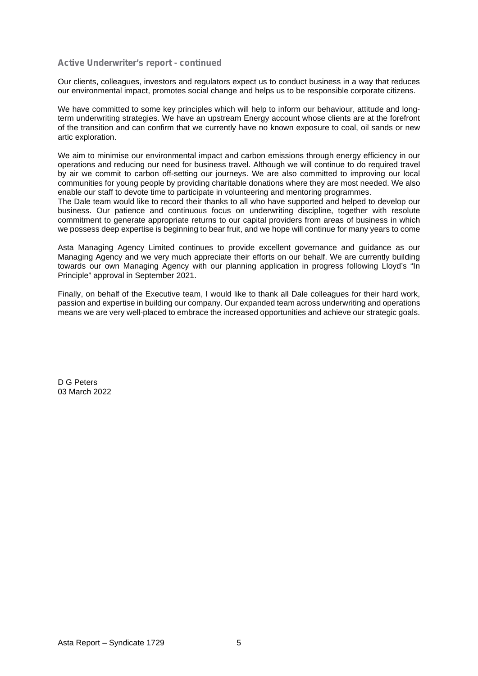#### **Active Underwriter's report - continued**

Our clients, colleagues, investors and regulators expect us to conduct business in a way that reduces our environmental impact, promotes social change and helps us to be responsible corporate citizens.

We have committed to some key principles which will help to inform our behaviour, attitude and longterm underwriting strategies. We have an upstream Energy account whose clients are at the forefront of the transition and can confirm that we currently have no known exposure to coal, oil sands or new artic exploration.

We aim to minimise our environmental impact and carbon emissions through energy efficiency in our operations and reducing our need for business travel. Although we will continue to do required travel by air we commit to carbon off-setting our journeys. We are also committed to improving our local communities for young people by providing charitable donations where they are most needed. We also enable our staff to devote time to participate in volunteering and mentoring programmes.

The Dale team would like to record their thanks to all who have supported and helped to develop our business. Our patience and continuous focus on underwriting discipline, together with resolute commitment to generate appropriate returns to our capital providers from areas of business in which we possess deep expertise is beginning to bear fruit, and we hope will continue for many years to come

Asta Managing Agency Limited continues to provide excellent governance and guidance as our Managing Agency and we very much appreciate their efforts on our behalf. We are currently building towards our own Managing Agency with our planning application in progress following Lloyd's "In Principle" approval in September 2021.

Finally, on behalf of the Executive team, I would like to thank all Dale colleagues for their hard work, passion and expertise in building our company. Our expanded team across underwriting and operations means we are very well-placed to embrace the increased opportunities and achieve our strategic goals.

D G Peters 03 March 2022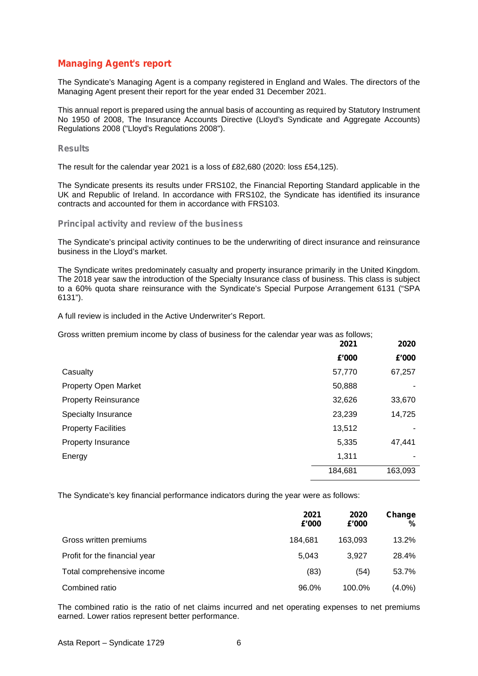## **Managing Agent's report**

The Syndicate's Managing Agent is a company registered in England and Wales. The directors of the Managing Agent present their report for the year ended 31 December 2021.

This annual report is prepared using the annual basis of accounting as required by Statutory Instrument No 1950 of 2008, The Insurance Accounts Directive (Lloyd's Syndicate and Aggregate Accounts) Regulations 2008 ("Lloyd's Regulations 2008").

#### **Results**

The result for the calendar year 2021 is a loss of £82,680 (2020: loss £54,125).

The Syndicate presents its results under FRS102, the Financial Reporting Standard applicable in the UK and Republic of Ireland. In accordance with FRS102, the Syndicate has identified its insurance contracts and accounted for them in accordance with FRS103.

#### **Principal activity and review of the business**

The Syndicate's principal activity continues to be the underwriting of direct insurance and reinsurance business in the Lloyd's market.

The Syndicate writes predominately casualty and property insurance primarily in the United Kingdom. The 2018 year saw the introduction of the Specialty Insurance class of business. This class is subject to a 60% quota share reinsurance with the Syndicate's Special Purpose Arrangement 6131 ("SPA 6131").

A full review is included in the Active Underwriter's Report.

Gross written premium income by class of business for the calendar year was as follows;

|                             | 2021    | 2020    |  |
|-----------------------------|---------|---------|--|
|                             | £'000   | £'000   |  |
| Casualty                    | 57,770  | 67,257  |  |
| <b>Property Open Market</b> | 50,888  |         |  |
| <b>Property Reinsurance</b> | 32,626  | 33,670  |  |
| Specialty Insurance         | 23,239  | 14,725  |  |
| <b>Property Facilities</b>  | 13,512  |         |  |
| Property Insurance          | 5,335   | 47,441  |  |
| Energy                      | 1,311   | ٠       |  |
|                             | 184,681 | 163,093 |  |

The Syndicate's key financial performance indicators during the year were as follows:

|                               | 2021<br>£'000 | 2020<br>£'000 | Change<br>% |
|-------------------------------|---------------|---------------|-------------|
| Gross written premiums        | 184.681       | 163.093       | 13.2%       |
| Profit for the financial year | 5,043         | 3.927         | 28.4%       |
| Total comprehensive income    | (83)          | (54)          | 53.7%       |
| Combined ratio                | 96.0%         | 100.0%        | $(4.0\%)$   |

The combined ratio is the ratio of net claims incurred and net operating expenses to net premiums earned. Lower ratios represent better performance.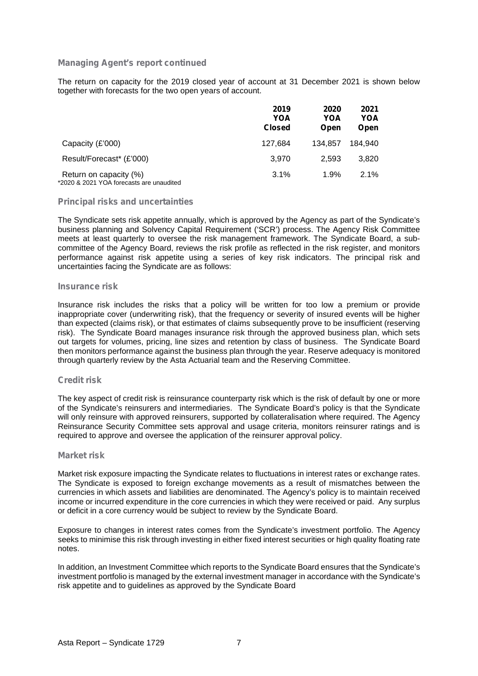The return on capacity for the 2019 closed year of account at 31 December 2021 is shown below together with forecasts for the two open years of account.

|                                                                    | 2019<br>YOA<br><b>Closed</b> | 2020<br>YOA<br>Open | 2021<br>YOA<br>Open |
|--------------------------------------------------------------------|------------------------------|---------------------|---------------------|
| Capacity (£'000)                                                   | 127.684                      | 134.857             | 184.940             |
| Result/Forecast* (£'000)                                           | 3.970                        | 2.593               | 3.820               |
| Return on capacity (%)<br>*2020 & 2021 YOA forecasts are unaudited | 3.1%                         | 1.9%                | 2.1%                |

#### **Principal risks and uncertainties**

The Syndicate sets risk appetite annually, which is approved by the Agency as part of the Syndicate's business planning and Solvency Capital Requirement ('SCR') process. The Agency Risk Committee meets at least quarterly to oversee the risk management framework. The Syndicate Board, a sub committee of the Agency Board, reviews the risk profile as reflected in the risk register, and monitors performance against risk appetite using a series of key risk indicators. The principal risk and uncertainties facing the Syndicate are as follows:

#### **Insurance risk**

Insurance risk includes the risks that a policy will be written for too low a premium or provide inappropriate cover (underwriting risk), that the frequency or severity of insured events will be higher than expected (claims risk), or that estimates of claims subsequently prove to be insufficient (reserving risk). The Syndicate Board manages insurance risk through the approved business plan, which sets out targets for volumes, pricing, line sizes and retention by class of business. The Syndicate Board then monitors performance against the business plan through the year. Reserve adequacy is monitored through quarterly review by the Asta Actuarial team and the Reserving Committee.

#### **Credit risk**

The key aspect of credit risk is reinsurance counterparty risk which is the risk of default by one or more of the Syndicate's reinsurers and intermediaries. The Syndicate Board's policy is that the Syndicate will only reinsure with approved reinsurers, supported by collateralisation where required. The Agency Reinsurance Security Committee sets approval and usage criteria, monitors reinsurer ratings and is required to approve and oversee the application of the reinsurer approval policy.

#### **Market risk**

Market risk exposure impacting the Syndicate relates to fluctuations in interest rates or exchange rates. The Syndicate is exposed to foreign exchange movements as a result of mismatches between the currencies in which assets and liabilities are denominated. The Agency's policy is to maintain received income or incurred expenditure in the core currencies in which they were received or paid. Any surplus or deficit in a core currency would be subject to review by the Syndicate Board.

Exposure to changes in interest rates comes from the Syndicate's investment portfolio. The Agency seeks to minimise this risk through investing in either fixed interest securities or high quality floating rate notes.

In addition, an Investment Committee which reports to the Syndicate Board ensures that the Syndicate's investment portfolio is managed by the external investment manager in accordance with the Syndicate's risk appetite and to guidelines as approved by the Syndicate Board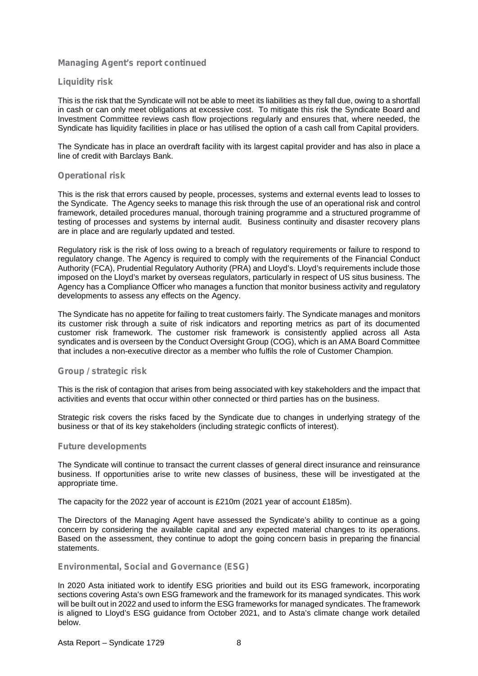#### **Liquidity risk**

This is the risk that the Syndicate will not be able to meet its liabilities as they fall due, owing to a shortfall in cash or can only meet obligations at excessive cost. To mitigate this risk the Syndicate Board and Investment Committee reviews cash flow projections regularly and ensures that, where needed, the Syndicate has liquidity facilities in place or has utilised the option of a cash call from Capital providers.

The Syndicate has in place an overdraft facility with its largest capital provider and has also in place a line of credit with Barclays Bank.

#### **Operational risk**

This is the risk that errors caused by people, processes, systems and external events lead to losses to the Syndicate. The Agency seeks to manage this risk through the use of an operational risk and control framework, detailed procedures manual, thorough training programme and a structured programme of testing of processes and systems by internal audit. Business continuity and disaster recovery plans are in place and are regularly updated and tested.

Regulatory risk is the risk of loss owing to a breach of regulatory requirements or failure to respond to regulatory change. The Agency is required to comply with the requirements of the Financial Conduct Authority (FCA), Prudential Regulatory Authority (PRA) and Lloyd's. Lloyd's requirements include those imposed on the Lloyd's market by overseas regulators, particularly in respect of US situs business. The Agency has a Compliance Officer who manages a function that monitor business activity and regulatory developments to assess any effects on the Agency.

The Syndicate has no appetite for failing to treat customers fairly. The Syndicate manages and monitors its customer risk through a suite of risk indicators and reporting metrics as part of its documented customer risk framework. The customer risk framework is consistently applied across all Asta syndicates and is overseen by the Conduct Oversight Group (COG), which is an AMA Board Committee that includes a non-executive director as a member who fulfils the role of Customer Champion.

#### **Group / strategic risk**

This is the risk of contagion that arises from being associated with key stakeholders and the impact that activities and events that occur within other connected or third parties has on the business.

Strategic risk covers the risks faced by the Syndicate due to changes in underlying strategy of the business or that of its key stakeholders (including strategic conflicts of interest).

#### **Future developments**

The Syndicate will continue to transact the current classes of general direct insurance and reinsurance business. If opportunities arise to write new classes of business, these will be investigated at the appropriate time.

The capacity for the 2022 year of account is £210m (2021 year of account £185m).

The Directors of the Managing Agent have assessed the Syndicate's ability to continue as a going concern by considering the available capital and any expected material changes to its operations. Based on the assessment, they continue to adopt the going concern basis in preparing the financial statements.

#### **Environmental, Social and Governance (ESG)**

In 2020 Asta initiated work to identify ESG priorities and build out its ESG framework, incorporating sections covering Asta's own ESG framework and the framework for its managed syndicates. This work will be built out in 2022 and used to inform the ESG frameworks for managed syndicates. The framework is aligned to Lloyd's ESG guidance from October 2021, and to Asta's climate change work detailed below.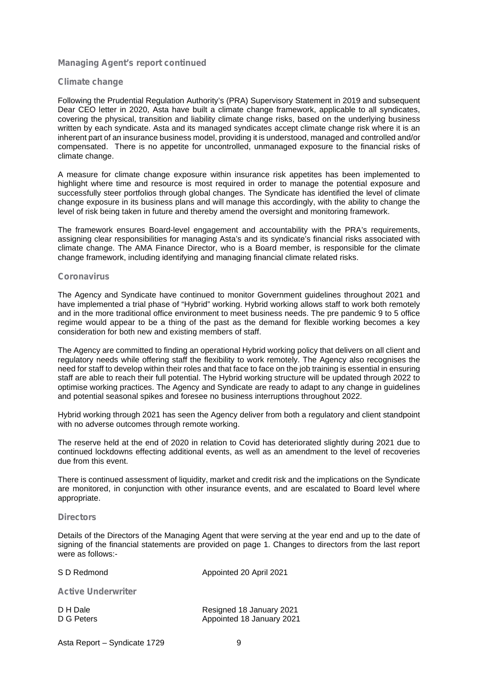#### **Climate change**

Following the Prudential Regulation Authority's (PRA) Supervisory Statement in 2019 and subsequent Dear CEO letter in 2020, Asta have built a climate change framework, applicable to all syndicates, covering the physical, transition and liability climate change risks, based on the underlying business written by each syndicate. Asta and its managed syndicates accept climate change risk where it is an inherent part of an insurance business model, providing it is understood, managed and controlled and/or compensated. There is no appetite for uncontrolled, unmanaged exposure to the financial risks of climate change.

A measure for climate change exposure within insurance risk appetites has been implemented to highlight where time and resource is most required in order to manage the potential exposure and successfully steer portfolios through global changes. The Syndicate has identified the level of climate change exposure in its business plans and will manage this accordingly, with the ability to change the level of risk being taken in future and thereby amend the oversight and monitoring framework.

The framework ensures Board-level engagement and accountability with the PRA's requirements, assigning clear responsibilities for managing Asta's and its syndicate's financial risks associated with climate change. The AMA Finance Director, who is a Board member, is responsible for the climate change framework, including identifying and managing financial climate related risks.

#### **Coronavirus**

The Agency and Syndicate have continued to monitor Government guidelines throughout 2021 and have implemented a trial phase of "Hybrid" working. Hybrid working allows staff to work both remotely and in the more traditional office environment to meet business needs. The pre pandemic 9 to 5 office regime would appear to be a thing of the past as the demand for flexible working becomes a key consideration for both new and existing members of staff.

The Agency are committed to finding an operational Hybrid working policy that delivers on all client and regulatory needs while offering staff the flexibility to work remotely. The Agency also recognises the need for staff to develop within their roles and that face to face on the job training is essential in ensuring staff are able to reach their full potential. The Hybrid working structure will be updated through 2022 to optimise working practices. The Agency and Syndicate are ready to adapt to any change in guidelines and potential seasonal spikes and foresee no business interruptions throughout 2022.

Hybrid working through 2021 has seen the Agency deliver from both a regulatory and client standpoint with no adverse outcomes through remote working.

The reserve held at the end of 2020 in relation to Covid has deteriorated slightly during 2021 due to continued lockdowns effecting additional events, as well as an amendment to the level of recoveries due from this event.

There is continued assessment of liquidity, market and credit risk and the implications on the Syndicate are monitored, in conjunction with other insurance events, and are escalated to Board level where appropriate.

#### **Directors**

Details of the Directors of the Managing Agent that were serving at the year end and up to the date of signing of the financial statements are provided on page 1. Changes to directors from the last report were as follows:-

| S D Redmond               | Appointed 20 April 2021                               |  |  |
|---------------------------|-------------------------------------------------------|--|--|
| <b>Active Underwriter</b> |                                                       |  |  |
| D H Dale<br>D G Peters    | Resigned 18 January 2021<br>Appointed 18 January 2021 |  |  |

Asta Report – Syndicate 1729 9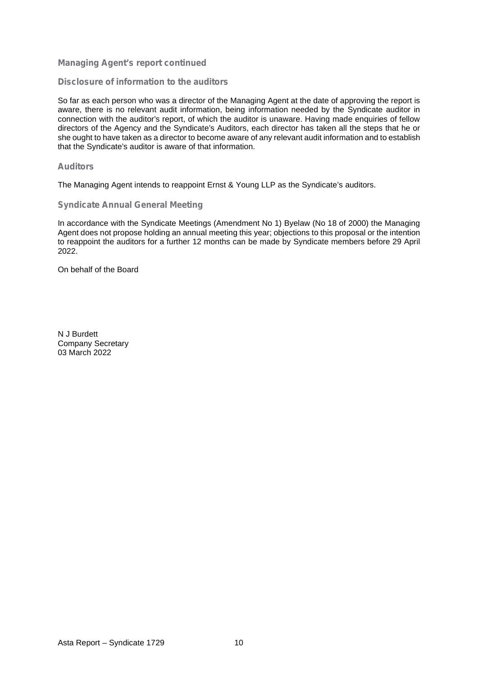#### **Disclosure of information to the auditors**

So far as each person who was a director of the Managing Agent at the date of approving the report is aware, there is no relevant audit information, being information needed by the Syndicate auditor in connection with the auditor's report, of which the auditor is unaware. Having made enquiries of fellow directors of the Agency and the Syndicate's Auditors, each director has taken all the steps that he or she ought to have taken as a director to become aware of any relevant audit information and to establish that the Syndicate's auditor is aware of that information.

#### **Auditors**

The Managing Agent intends to reappoint Ernst & Young LLP as the Syndicate's auditors.

#### **Syndicate Annual General Meeting**

In accordance with the Syndicate Meetings (Amendment No 1) Byelaw (No 18 of 2000) the Managing Agent does not propose holding an annual meeting this year; objections to this proposal or the intention to reappoint the auditors for a further 12 months can be made by Syndicate members before 29 April 2022.

On behalf of the Board

N J Burdett Company Secretary 03 March 2022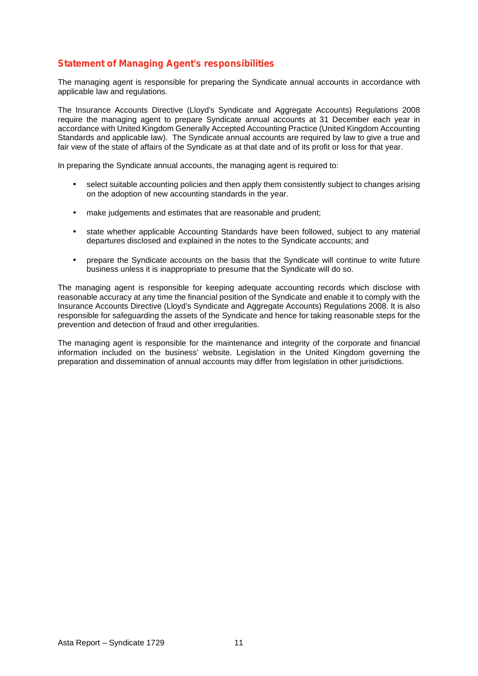## **Statement of Managing Agent's responsibilities**

The managing agent is responsible for preparing the Syndicate annual accounts in accordance with applicable law and regulations.

The Insurance Accounts Directive (Lloyd's Syndicate and Aggregate Accounts) Regulations 2008 require the managing agent to prepare Syndicate annual accounts at 31 December each year in accordance with United Kingdom Generally Accepted Accounting Practice (United Kingdom Accounting Standards and applicable law). The Syndicate annual accounts are required by law to give a true and fair view of the state of affairs of the Syndicate as at that date and of its profit or loss for that year.

In preparing the Syndicate annual accounts, the managing agent is required to:

- select suitable accounting policies and then apply them consistently subject to changes arising on the adoption of new accounting standards in the year.
- make judgements and estimates that are reasonable and prudent;
- state whether applicable Accounting Standards have been followed, subject to any material departures disclosed and explained in the notes to the Syndicate accounts; and
- prepare the Syndicate accounts on the basis that the Syndicate will continue to write future business unless it is inappropriate to presume that the Syndicate will do so.

The managing agent is responsible for keeping adequate accounting records which disclose with reasonable accuracy at any time the financial position of the Syndicate and enable it to comply with the Insurance Accounts Directive (Lloyd's Syndicate and Aggregate Accounts) Regulations 2008. It is also responsible for safeguarding the assets of the Syndicate and hence for taking reasonable steps for the prevention and detection of fraud and other irregularities.

The managing agent is responsible for the maintenance and integrity of the corporate and financial information included on the business' website. Legislation in the United Kingdom governing the preparation and dissemination of annual accounts may differ from legislation in other jurisdictions.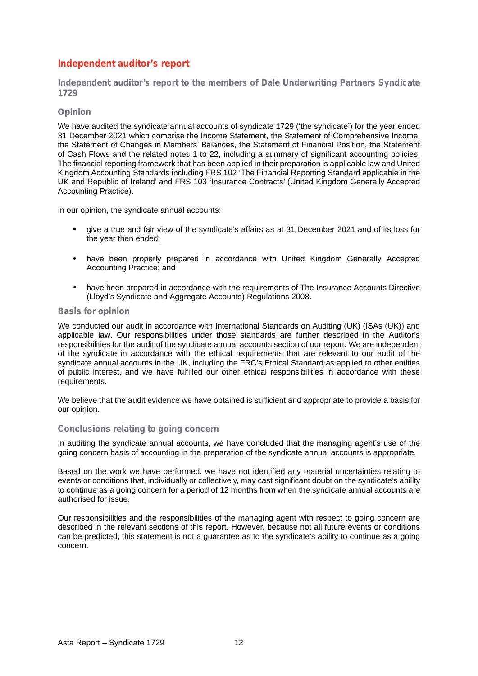## **Independent auditor's report**

**Independent auditor's report to the members of Dale Underwriting Partners Syndicate 1729**

#### **Opinion**

We have audited the syndicate annual accounts of syndicate 1729 ('the syndicate') for the year ended 31 December 2021 which comprise the Income Statement, the Statement of Comprehensive Income, the Statement of Changes in Members' Balances, the Statement of Financial Position, the Statement of Cash Flows and the related notes 1 to 22, including a summary of significant accounting policies. The financial reporting framework that has been applied in their preparation is applicable law and United Kingdom Accounting Standards including FRS 102 'The Financial Reporting Standard applicable in the UK and Republic of Ireland' and FRS 103 'Insurance Contracts' (United Kingdom Generally Accepted Accounting Practice).

In our opinion, the syndicate annual accounts:

- give a true and fair view of the syndicate's affairs as at 31 December 2021 and of its loss for the year then ended;
- have been properly prepared in accordance with United Kingdom Generally Accepted Accounting Practice; and
- have been prepared in accordance with the requirements of The Insurance Accounts Directive (Lloyd's Syndicate and Aggregate Accounts) Regulations 2008.

#### **Basis for opinion**

We conducted our audit in accordance with International Standards on Auditing (UK) (ISAs (UK)) and applicable law. Our responsibilities under those standards are further described in the Auditor's responsibilities for the audit of the syndicate annual accounts section of our report. We are independent of the syndicate in accordance with the ethical requirements that are relevant to our audit of the syndicate annual accounts in the UK, including the FRC's Ethical Standard as applied to other entities of public interest, and we have fulfilled our other ethical responsibilities in accordance with these requirements.

We believe that the audit evidence we have obtained is sufficient and appropriate to provide a basis for our opinion.

#### **Conclusions relating to going concern**

In auditing the syndicate annual accounts, we have concluded that the managing agent's use of the going concern basis of accounting in the preparation of the syndicate annual accounts is appropriate.

Based on the work we have performed, we have not identified any material uncertainties relating to events or conditions that, individually or collectively, may cast significant doubt on the syndicate's ability to continue as a going concern for a period of 12 months from when the syndicate annual accounts are authorised for issue.

Our responsibilities and the responsibilities of the managing agent with respect to going concern are described in the relevant sections of this report. However, because not all future events or conditions can be predicted, this statement is not a guarantee as to the syndicate's ability to continue as a going concern.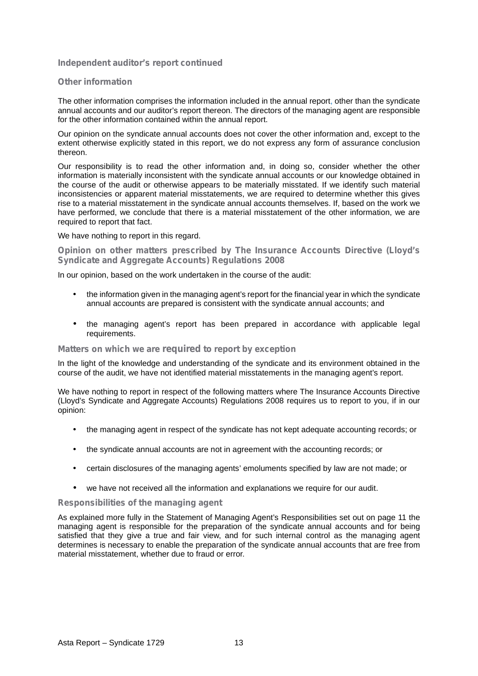#### **Independent auditor's report continued**

#### **Other information**

The other information comprises the information included in the annual report, other than the syndicate annual accounts and our auditor's report thereon. The directors of the managing agent are responsible for the other information contained within the annual report.

Our opinion on the syndicate annual accounts does not cover the other information and, except to the extent otherwise explicitly stated in this report, we do not express any form of assurance conclusion thereon.

Our responsibility is to read the other information and, in doing so, consider whether the other information is materially inconsistent with the syndicate annual accounts or our knowledge obtained in the course of the audit or otherwise appears to be materially misstated. If we identify such material inconsistencies or apparent material misstatements, we are required to determine whether this gives rise to a material misstatement in the syndicate annual accounts themselves. If, based on the work we have performed, we conclude that there is a material misstatement of the other information, we are required to report that fact.

We have nothing to report in this regard.

**Opinion on other matters prescribed by The Insurance Accounts Directive (Lloyd's Syndicate and Aggregate Accounts) Regulations 2008**

In our opinion, based on the work undertaken in the course of the audit:

- the information given in the managing agent's report for the financial year in which the syndicate annual accounts are prepared is consistent with the syndicate annual accounts; and
- the managing agent's report has been prepared in accordance with applicable legal requirements.

#### **Matters on which we are required to report by exception**

In the light of the knowledge and understanding of the syndicate and its environment obtained in the course of the audit, we have not identified material misstatements in the managing agent's report.

We have nothing to report in respect of the following matters where The Insurance Accounts Directive (Lloyd's Syndicate and Aggregate Accounts) Regulations 2008 requires us to report to you, if in our opinion:

- the managing agent in respect of the syndicate has not kept adequate accounting records; or
- the syndicate annual accounts are not in agreement with the accounting records; or
- certain disclosures of the managing agents' emoluments specified by law are not made; or
- we have not received all the information and explanations we require for our audit.

#### **Responsibilities of the managing agent**

As explained more fully in the Statement of Managing Agent's Responsibilities set out on page 11 the managing agent is responsible for the preparation of the syndicate annual accounts and for being satisfied that they give a true and fair view, and for such internal control as the managing agent determines is necessary to enable the preparation of the syndicate annual accounts that are free from material misstatement, whether due to fraud or error.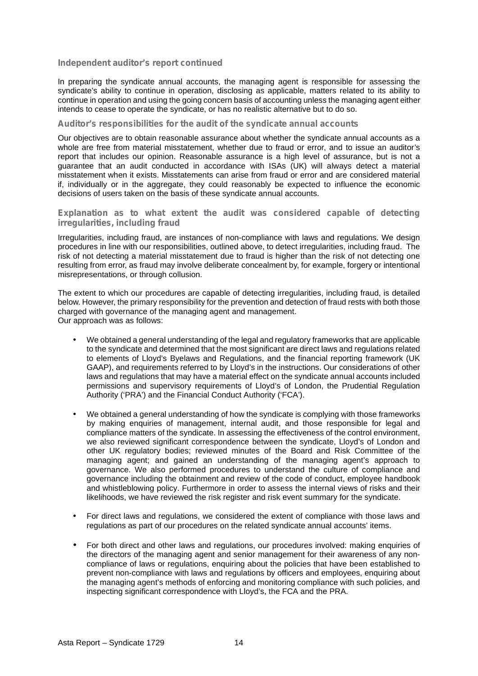#### **Independent auditor's report continued**

In preparing the syndicate annual accounts, the managing agent is responsible for assessing the syndicate's ability to continue in operation, disclosing as applicable, matters related to its ability to continue in operation and using the going concern basis of accounting unless the managing agent either intends to cease to operate the syndicate, or has no realistic alternative but to do so.

#### **Auditor's responsibilities for the audit of the syndicate annual accounts**

Our objectives are to obtain reasonable assurance about whether the syndicate annual accounts as a whole are free from material misstatement, whether due to fraud or error, and to issue an auditor's report that includes our opinion. Reasonable assurance is a high level of assurance, but is not a guarantee that an audit conducted in accordance with ISAs (UK) will always detect a material misstatement when it exists. Misstatements can arise from fraud or error and are considered material if, individually or in the aggregate, they could reasonably be expected to influence the economic decisions of users taken on the basis of these syndicate annual accounts.

#### **Explanation as to what extent the audit was considered capable of detecting irregularities, including fraud**

Irregularities, including fraud, are instances of non-compliance with laws and regulations. We design procedures in line with our responsibilities, outlined above, to detect irregularities, including fraud. The risk of not detecting a material misstatement due to fraud is higher than the risk of not detecting one resulting from error, as fraud may involve deliberate concealment by, for example, forgery or intentional misrepresentations, or through collusion.

The extent to which our procedures are capable of detecting irregularities, including fraud, is detailed below. However, the primary responsibility for the prevention and detection of fraud rests with both those charged with governance of the managing agent and management. Our approach was as follows:

- We obtained a general understanding of the legal and regulatory frameworks that are applicable to the syndicate and determined that the most significant are direct laws and regulations related to elements of Lloyd's Byelaws and Regulations, and the financial reporting framework (UK GAAP), and requirements referred to by Lloyd's in the instructions. Our considerations of other laws and regulations that may have a material effect on the syndicate annual accounts included permissions and supervisory requirements of Lloyd's of London, the Prudential Regulation Authority ('PRA') and the Financial Conduct Authority ('FCA').
- We obtained a general understanding of how the syndicate is complying with those frameworks by making enquiries of management, internal audit, and those responsible for legal and compliance matters of the syndicate. In assessing the effectiveness of the control environment, we also reviewed significant correspondence between the syndicate, Lloyd's of London and other UK regulatory bodies; reviewed minutes of the Board and Risk Committee of the managing agent; and gained an understanding of the managing agent's approach to governance. We also performed procedures to understand the culture of compliance and governance including the obtainment and review of the code of conduct, employee handbook and whistleblowing policy. Furthermore in order to assess the internal views of risks and their likelihoods, we have reviewed the risk register and risk event summary for the syndicate.
- For direct laws and regulations, we considered the extent of compliance with those laws and regulations as part of our procedures on the related syndicate annual accounts' items.
- For both direct and other laws and regulations, our procedures involved: making enquiries of the directors of the managing agent and senior management for their awareness of any non compliance of laws or regulations, enquiring about the policies that have been established to prevent non-compliance with laws and regulations by officers and employees, enquiring about the managing agent's methods of enforcing and monitoring compliance with such policies, and inspecting significant correspondence with Lloyd's, the FCA and the PRA.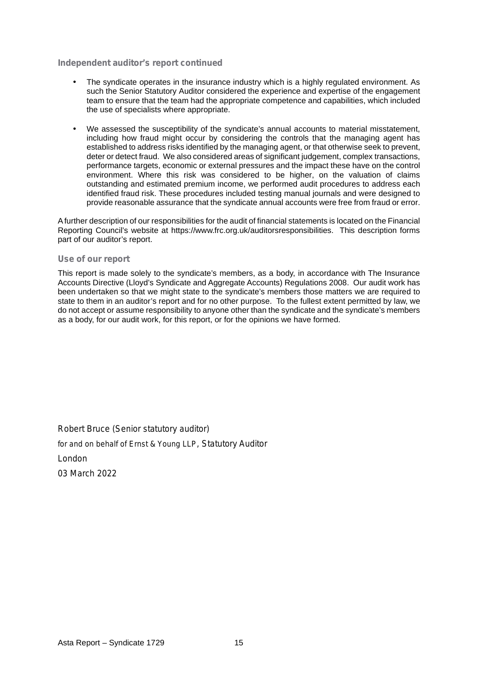#### **Independent auditor's report continued**

- The syndicate operates in the insurance industry which is a highly regulated environment. As such the Senior Statutory Auditor considered the experience and expertise of the engagement team to ensure that the team had the appropriate competence and capabilities, which included the use of specialists where appropriate.
- We assessed the susceptibility of the syndicate's annual accounts to material misstatement, including how fraud might occur by considering the controls that the managing agent has established to address risks identified by the managing agent, or that otherwise seek to prevent, deter or detect fraud. We also considered areas of significant judgement, complex transactions, performance targets, economic or external pressures and the impact these have on the control environment. Where this risk was considered to be higher, on the valuation of claims outstanding and estimated premium income, we performed audit procedures to address each identified fraud risk. These procedures included testing manual journals and were designed to provide reasonable assurance that the syndicate annual accounts were free from fraud or error.

A further description of our responsibilities for the audit of financial statements is located on the Financial Reporting Council's website at https://www.frc.org.uk/auditorsresponsibilities. This description forms part of our auditor's report.

#### **Use of our report**

This report is made solely to the syndicate's members, as a body, in accordance with The Insurance Accounts Directive (Lloyd's Syndicate and Aggregate Accounts) Regulations 2008. Our audit work has been undertaken so that we might state to the syndicate's members those matters we are required to state to them in an auditor's report and for no other purpose. To the fullest extent permitted by law, we do not accept or assume responsibility to anyone other than the syndicate and the syndicate's members as a body, for our audit work, for this report, or for the opinions we have formed.

*Robert Bruce (Senior statutory auditor) for and on behalf of Ernst & Young LLP, Statutory Auditor London 03 March 2022*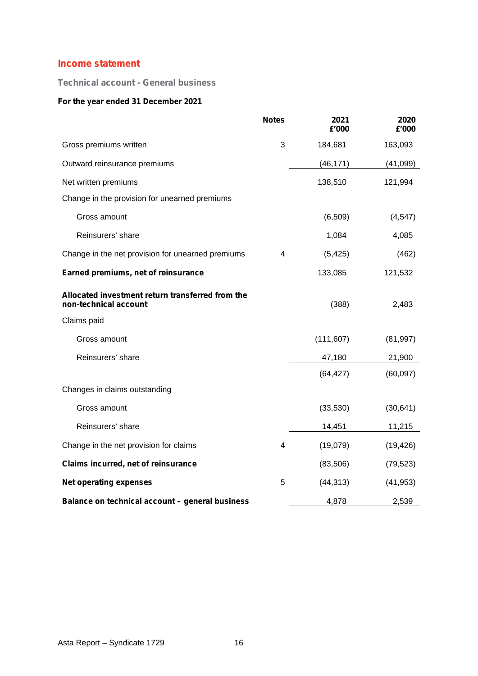## **Income statement**

**Technical account - General business**

## **For the year ended 31 December 2021**

|                                                                           | <b>Notes</b> | 2021<br>£'000 | 2020<br>£'000 |
|---------------------------------------------------------------------------|--------------|---------------|---------------|
| Gross premiums written                                                    | 3            | 184,681       | 163,093       |
| Outward reinsurance premiums                                              |              | (46, 171)     | (41,099)      |
| Net written premiums                                                      |              | 138,510       | 121,994       |
| Change in the provision for unearned premiums                             |              |               |               |
| Gross amount                                                              |              | (6, 509)      | (4, 547)      |
| Reinsurers' share                                                         |              | 1,084         | 4,085         |
| Change in the net provision for unearned premiums                         | 4            | (5, 425)      | (462)         |
| Earned premiums, net of reinsurance                                       |              | 133,085       | 121,532       |
| Allocated investment return transferred from the<br>non-technical account |              | (388)         | 2,483         |
| Claims paid                                                               |              |               |               |
| Gross amount                                                              |              | (111, 607)    | (81, 997)     |
| Reinsurers' share                                                         |              | 47,180        | 21,900        |
|                                                                           |              | (64, 427)     | (60,097)      |
| Changes in claims outstanding                                             |              |               |               |
| Gross amount                                                              |              | (33,530)      | (30, 641)     |
| Reinsurers' share                                                         |              | 14,451        | 11,215        |
| Change in the net provision for claims                                    | 4            | (19,079)      | (19, 426)     |
| Claims incurred, net of reinsurance                                       |              | (83, 506)     | (79, 523)     |
| <b>Net operating expenses</b>                                             | 5            | (44, 313)     | (41, 953)     |
| Balance on technical account - general business                           |              | 4,878         | 2,539         |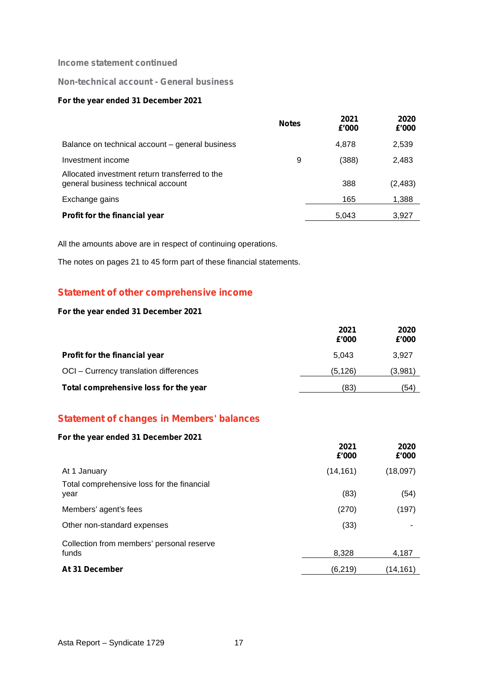#### **Income statement continued**

## **Non-technical account - General business**

#### **For the year ended 31 December 2021**

|                                                                                      | <b>Notes</b> | 2021<br>£'000 | 2020<br>£'000 |  |
|--------------------------------------------------------------------------------------|--------------|---------------|---------------|--|
| Balance on technical account - general business                                      |              | 4,878         | 2,539         |  |
| Investment income                                                                    | 9            | (388)         | 2,483         |  |
| Allocated investment return transferred to the<br>general business technical account |              | 388           | (2, 483)      |  |
| Exchange gains                                                                       |              | 165           | 1,388         |  |
| Profit for the financial year                                                        |              | 5,043         | 3,927         |  |

All the amounts above are in respect of continuing operations.

The notes on pages 21 to 45 form part of these financial statements.

## **Statement of other comprehensive income**

#### **For the year ended 31 December 2021**

|                                        | 2021<br>£'000 | 2020<br>£'000 |  |
|----------------------------------------|---------------|---------------|--|
| Profit for the financial year          | 5.043         | 3.927         |  |
| OCI - Currency translation differences | (5, 126)      | (3,981)       |  |
| Total comprehensive loss for the year  | (83)          | (54)          |  |

## **Statement of changes in Members' balances**

#### **For the year ended 31 December 2021**

| <b>Of the year ended 31 December 2021</b>          | 2021<br>£'000 | 2020<br>£'000 |  |
|----------------------------------------------------|---------------|---------------|--|
| At 1 January                                       | (14, 161)     | (18,097)      |  |
| Total comprehensive loss for the financial<br>year | (83)          | (54)          |  |
| Members' agent's fees                              | (270)         | (197)         |  |
| Other non-standard expenses                        | (33)          |               |  |
| Collection from members' personal reserve<br>funds | 8,328         | 4,187         |  |
| At 31 December                                     | (6, 219)      | (14,161)      |  |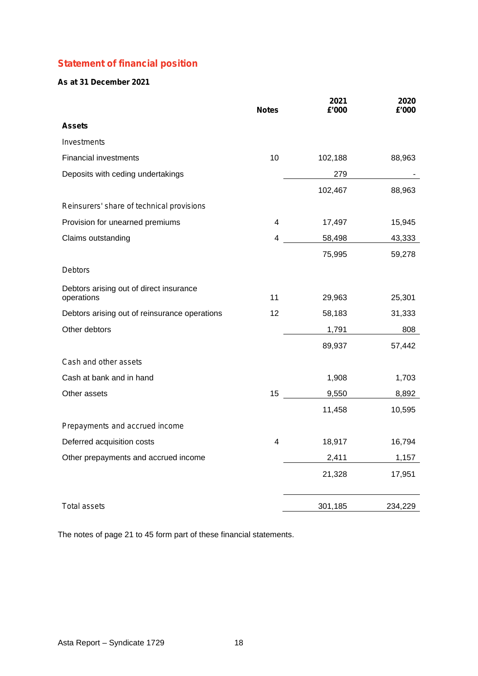# **Statement of financial position**

## **As at 31 December 2021**

|                                                       | <b>Notes</b>   | 2021<br>£'000 | 2020<br>£'000 |
|-------------------------------------------------------|----------------|---------------|---------------|
| <b>Assets</b>                                         |                |               |               |
| Investments                                           |                |               |               |
| <b>Financial investments</b>                          | 10             | 102,188       | 88,963        |
| Deposits with ceding undertakings                     |                | 279           |               |
|                                                       |                | 102,467       | 88,963        |
| Reinsurers' share of technical provisions             |                |               |               |
| Provision for unearned premiums                       | 4              | 17,497        | 15,945        |
| Claims outstanding                                    | 4              | 58,498        | 43,333        |
|                                                       |                | 75,995        | 59,278        |
| <b>Debtors</b>                                        |                |               |               |
| Debtors arising out of direct insurance<br>operations | 11             | 29,963        | 25,301        |
| Debtors arising out of reinsurance operations         | 12             | 58,183        | 31,333        |
| Other debtors                                         |                | 1,791         | 808           |
|                                                       |                | 89,937        | 57,442        |
| Cash and other assets                                 |                |               |               |
| Cash at bank and in hand                              |                | 1,908         | 1,703         |
| Other assets                                          | 15             | 9,550         | 8,892         |
|                                                       |                | 11,458        | 10,595        |
| Prepayments and accrued income                        |                |               |               |
| Deferred acquisition costs                            | $\overline{4}$ | 18,917        | 16,794        |
| Other prepayments and accrued income                  |                | 2,411         | 1,157         |
|                                                       |                | 21,328        | 17,951        |
| Total assets                                          |                | 301,185       | 234,229       |

The notes of page 21 to 45 form part of these financial statements.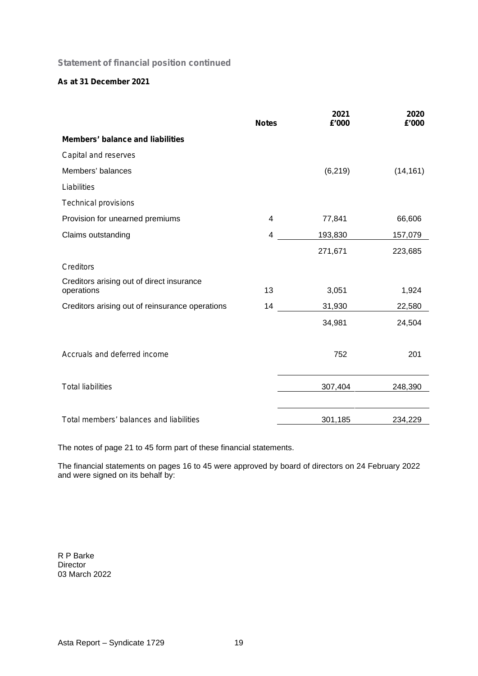## **Statement of financial position continued**

## **As at 31 December 2021**

|                                                         | <b>Notes</b> | 2021<br>£'000 | 2020<br>£'000 |
|---------------------------------------------------------|--------------|---------------|---------------|
| <b>Members' balance and liabilities</b>                 |              |               |               |
| Capital and reserves                                    |              |               |               |
| Members' balances                                       |              | (6, 219)      | (14, 161)     |
| Liabilities                                             |              |               |               |
| <b>Technical provisions</b>                             |              |               |               |
| Provision for unearned premiums                         | 4            | 77,841        | 66,606        |
| Claims outstanding                                      | 4            | 193,830       | 157,079       |
|                                                         |              | 271,671       | 223,685       |
| <b>Creditors</b>                                        |              |               |               |
| Creditors arising out of direct insurance<br>operations | 13           | 3,051         | 1,924         |
| Creditors arising out of reinsurance operations         | 14           | 31,930        | 22,580        |
|                                                         |              | 34,981        | 24,504        |
| Accruals and deferred income                            |              | 752           | 201           |
| <b>Total liabilities</b>                                |              | 307,404       | 248,390       |
| Total members' balances and liabilities                 |              | 301,185       | 234,229       |

The notes of page 21 to 45 form part of these financial statements.

The financial statements on pages 16 to 45 were approved by board of directors on 24 February 2022 and were signed on its behalf by:

R P Barke Director 03 March 2022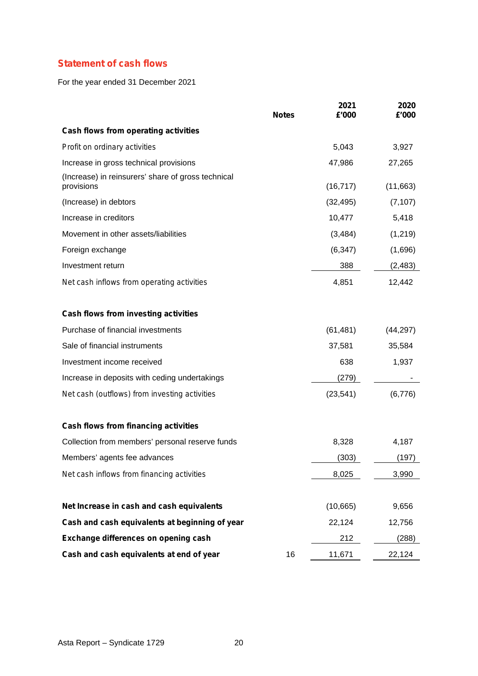# **Statement of cash flows**

For the year ended 31 December 2021

|                                                                  | <b>Notes</b> | 2021<br>£'000 | 2020<br>£'000 |
|------------------------------------------------------------------|--------------|---------------|---------------|
| Cash flows from operating activities                             |              |               |               |
| Profit on ordinary activities                                    |              | 5,043         | 3,927         |
| Increase in gross technical provisions                           |              | 47,986        | 27,265        |
| (Increase) in reinsurers' share of gross technical<br>provisions |              | (16, 717)     | (11,663)      |
| (Increase) in debtors                                            |              | (32, 495)     | (7, 107)      |
| Increase in creditors                                            |              | 10,477        | 5,418         |
| Movement in other assets/liabilities                             |              | (3, 484)      | (1, 219)      |
| Foreign exchange                                                 |              | (6, 347)      | (1,696)       |
| Investment return                                                |              | 388           | (2, 483)      |
| Net cash inflows from operating activities                       |              | 4,851         | 12,442        |
| Cash flows from investing activities                             |              |               |               |
| Purchase of financial investments                                |              | (61, 481)     | (44, 297)     |
| Sale of financial instruments                                    |              | 37,581        | 35,584        |
| Investment income received                                       |              | 638           | 1,937         |
| Increase in deposits with ceding undertakings                    |              | (279)         |               |
| Net cash (outflows) from investing activities                    |              | (23, 541)     | (6,776)       |
| Cash flows from financing activities                             |              |               |               |
| Collection from members' personal reserve funds                  |              | 8,328         | 4,187         |
| Members' agents fee advances                                     |              | (303)         | (197)         |
| Net cash inflows from financing activities                       |              | 8,025         | 3,990         |
| Net Increase in cash and cash equivalents                        |              | (10,665)      | 9,656         |
| Cash and cash equivalents at beginning of year                   |              | 22,124        | 12,756        |
| Exchange differences on opening cash                             |              | 212           | (288)         |
| Cash and cash equivalents at end of year                         | 16           | 11,671        | 22,124        |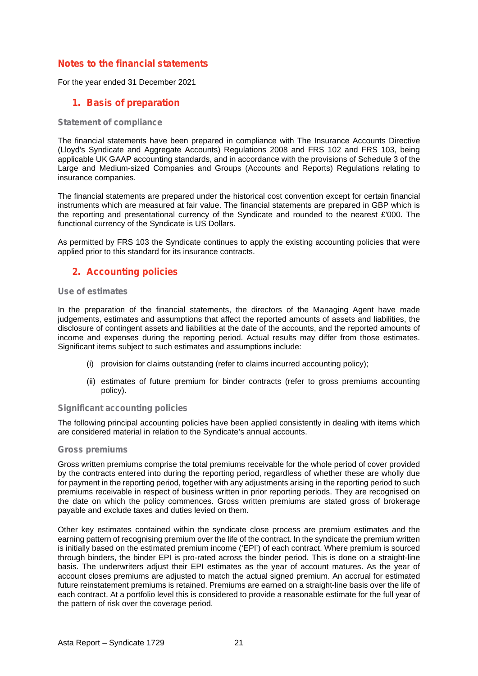## **Notes to the financial statements**

For the year ended 31 December 2021

## **1. Basis of preparation**

#### **Statement of compliance**

The financial statements have been prepared in compliance with The Insurance Accounts Directive (Lloyd's Syndicate and Aggregate Accounts) Regulations 2008 and FRS 102 and FRS 103, being applicable UK GAAP accounting standards, and in accordance with the provisions of Schedule 3 of the Large and Medium-sized Companies and Groups (Accounts and Reports) Regulations relating to insurance companies.

The financial statements are prepared under the historical cost convention except for certain financial instruments which are measured at fair value. The financial statements are prepared in GBP which is the reporting and presentational currency of the Syndicate and rounded to the nearest £'000. The functional currency of the Syndicate is US Dollars.

As permitted by FRS 103 the Syndicate continues to apply the existing accounting policies that were applied prior to this standard for its insurance contracts.

## **2. Accounting policies**

#### **Use of estimates**

In the preparation of the financial statements, the directors of the Managing Agent have made judgements, estimates and assumptions that affect the reported amounts of assets and liabilities, the disclosure of contingent assets and liabilities at the date of the accounts, and the reported amounts of income and expenses during the reporting period. Actual results may differ from those estimates. Significant items subject to such estimates and assumptions include:

- (i) provision for claims outstanding (refer to claims incurred accounting policy);
- (ii) estimates of future premium for binder contracts (refer to gross premiums accounting policy).

#### **Significant accounting policies**

The following principal accounting policies have been applied consistently in dealing with items which are considered material in relation to the Syndicate's annual accounts.

#### **Gross premiums**

Gross written premiums comprise the total premiums receivable for the whole period of cover provided by the contracts entered into during the reporting period, regardless of whether these are wholly due for payment in the reporting period, together with any adjustments arising in the reporting period to such premiums receivable in respect of business written in prior reporting periods. They are recognised on the date on which the policy commences. Gross written premiums are stated gross of brokerage payable and exclude taxes and duties levied on them.

Other key estimates contained within the syndicate close process are premium estimates and the earning pattern of recognising premium over the life of the contract. In the syndicate the premium written is initially based on the estimated premium income ('EPI') of each contract. Where premium is sourced through binders, the binder EPI is pro-rated across the binder period. This is done on a straight-line basis. The underwriters adjust their EPI estimates as the year of account matures. As the year of account closes premiums are adjusted to match the actual signed premium. An accrual for estimated future reinstatement premiums is retained. Premiums are earned on a straight-line basis over the life of each contract. At a portfolio level this is considered to provide a reasonable estimate for the full year of the pattern of risk over the coverage period.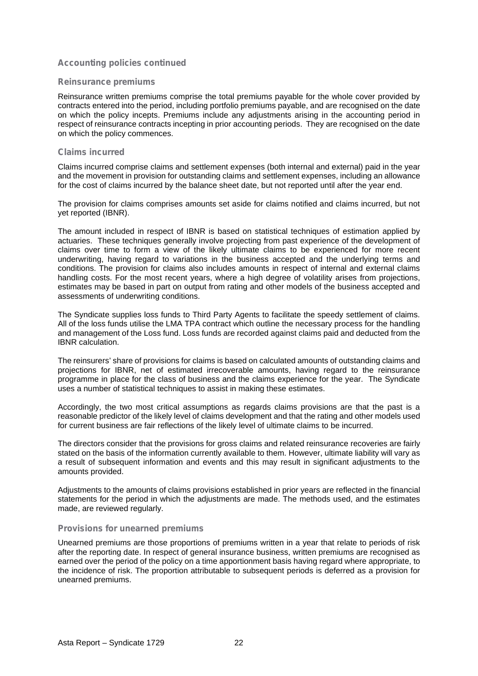#### **Reinsurance premiums**

Reinsurance written premiums comprise the total premiums payable for the whole cover provided by contracts entered into the period, including portfolio premiums payable, and are recognised on the date on which the policy incepts. Premiums include any adjustments arising in the accounting period in respect of reinsurance contracts incepting in prior accounting periods. They are recognised on the date on which the policy commences.

#### **Claims incurred**

Claims incurred comprise claims and settlement expenses (both internal and external) paid in the year and the movement in provision for outstanding claims and settlement expenses, including an allowance for the cost of claims incurred by the balance sheet date, but not reported until after the year end.

The provision for claims comprises amounts set aside for claims notified and claims incurred, but not yet reported (IBNR).

The amount included in respect of IBNR is based on statistical techniques of estimation applied by actuaries. These techniques generally involve projecting from past experience of the development of claims over time to form a view of the likely ultimate claims to be experienced for more recent underwriting, having regard to variations in the business accepted and the underlying terms and conditions. The provision for claims also includes amounts in respect of internal and external claims handling costs. For the most recent years, where a high degree of volatility arises from projections, estimates may be based in part on output from rating and other models of the business accepted and assessments of underwriting conditions.

The Syndicate supplies loss funds to Third Party Agents to facilitate the speedy settlement of claims. All of the loss funds utilise the LMA TPA contract which outline the necessary process for the handling and management of the Loss fund. Loss funds are recorded against claims paid and deducted from the IBNR calculation.

The reinsurers' share of provisions for claims is based on calculated amounts of outstanding claims and projections for IBNR, net of estimated irrecoverable amounts, having regard to the reinsurance programme in place for the class of business and the claims experience for the year. The Syndicate uses a number of statistical techniques to assist in making these estimates.

Accordingly, the two most critical assumptions as regards claims provisions are that the past is a reasonable predictor of the likely level of claims development and that the rating and other models used for current business are fair reflections of the likely level of ultimate claims to be incurred.

The directors consider that the provisions for gross claims and related reinsurance recoveries are fairly stated on the basis of the information currently available to them. However, ultimate liability will vary as a result of subsequent information and events and this may result in significant adjustments to the amounts provided.

Adjustments to the amounts of claims provisions established in prior years are reflected in the financial statements for the period in which the adjustments are made. The methods used, and the estimates made, are reviewed regularly.

#### **Provisions for unearned premiums**

Unearned premiums are those proportions of premiums written in a year that relate to periods of risk after the reporting date. In respect of general insurance business, written premiums are recognised as earned over the period of the policy on a time apportionment basis having regard where appropriate, to the incidence of risk. The proportion attributable to subsequent periods is deferred as a provision for unearned premiums.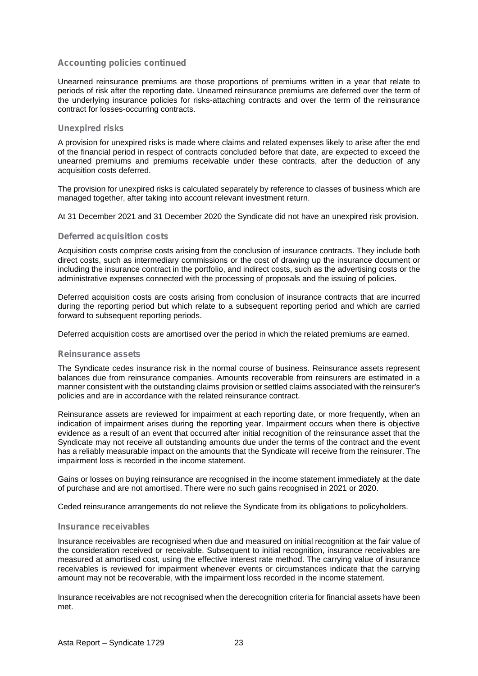Unearned reinsurance premiums are those proportions of premiums written in a year that relate to periods of risk after the reporting date. Unearned reinsurance premiums are deferred over the term of the underlying insurance policies for risks-attaching contracts and over the term of the reinsurance contract for losses-occurring contracts.

#### **Unexpired risks**

A provision for unexpired risks is made where claims and related expenses likely to arise after the end of the financial period in respect of contracts concluded before that date, are expected to exceed the unearned premiums and premiums receivable under these contracts, after the deduction of any acquisition costs deferred.

The provision for unexpired risks is calculated separately by reference to classes of business which are managed together, after taking into account relevant investment return.

At 31 December 2021 and 31 December 2020 the Syndicate did not have an unexpired risk provision.

#### **Deferred acquisition costs**

Acquisition costs comprise costs arising from the conclusion of insurance contracts. They include both direct costs, such as intermediary commissions or the cost of drawing up the insurance document or including the insurance contract in the portfolio, and indirect costs, such as the advertising costs or the administrative expenses connected with the processing of proposals and the issuing of policies.

Deferred acquisition costs are costs arising from conclusion of insurance contracts that are incurred during the reporting period but which relate to a subsequent reporting period and which are carried forward to subsequent reporting periods.

Deferred acquisition costs are amortised over the period in which the related premiums are earned.

#### **Reinsurance assets**

The Syndicate cedes insurance risk in the normal course of business. Reinsurance assets represent balances due from reinsurance companies. Amounts recoverable from reinsurers are estimated in a manner consistent with the outstanding claims provision or settled claims associated with the reinsurer's policies and are in accordance with the related reinsurance contract.

Reinsurance assets are reviewed for impairment at each reporting date, or more frequently, when an indication of impairment arises during the reporting year. Impairment occurs when there is objective evidence as a result of an event that occurred after initial recognition of the reinsurance asset that the Syndicate may not receive all outstanding amounts due under the terms of the contract and the event has a reliably measurable impact on the amounts that the Syndicate will receive from the reinsurer. The impairment loss is recorded in the income statement.

Gains or losses on buying reinsurance are recognised in the income statement immediately at the date of purchase and are not amortised. There were no such gains recognised in 2021 or 2020.

Ceded reinsurance arrangements do not relieve the Syndicate from its obligations to policyholders.

#### **Insurance receivables**

Insurance receivables are recognised when due and measured on initial recognition at the fair value of the consideration received or receivable. Subsequent to initial recognition, insurance receivables are measured at amortised cost, using the effective interest rate method. The carrying value of insurance receivables is reviewed for impairment whenever events or circumstances indicate that the carrying amount may not be recoverable, with the impairment loss recorded in the income statement.

Insurance receivables are not recognised when the derecognition criteria for financial assets have been met.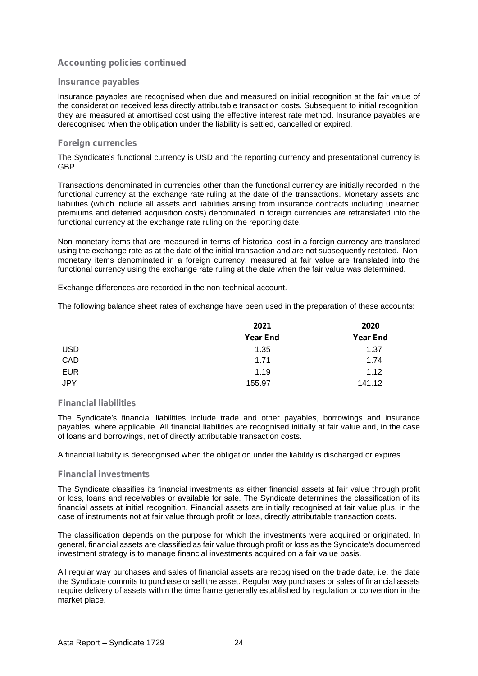#### **Insurance payables**

Insurance payables are recognised when due and measured on initial recognition at the fair value of the consideration received less directly attributable transaction costs. Subsequent to initial recognition, they are measured at amortised cost using the effective interest rate method. Insurance payables are derecognised when the obligation under the liability is settled, cancelled or expired.

#### **Foreign currencies**

The Syndicate's functional currency is USD and the reporting currency and presentational currency is GBP.

Transactions denominated in currencies other than the functional currency are initially recorded in the functional currency at the exchange rate ruling at the date of the transactions. Monetary assets and liabilities (which include all assets and liabilities arising from insurance contracts including unearned premiums and deferred acquisition costs) denominated in foreign currencies are retranslated into the functional currency at the exchange rate ruling on the reporting date.

Non-monetary items that are measured in terms of historical cost in a foreign currency are translated using the exchange rate as at the date of the initial transaction and are not subsequently restated. Non monetary items denominated in a foreign currency, measured at fair value are translated into the functional currency using the exchange rate ruling at the date when the fair value was determined.

Exchange differences are recorded in the non-technical account.

The following balance sheet rates of exchange have been used in the preparation of these accounts:

|            | 2021            | 2020            |
|------------|-----------------|-----------------|
|            | <b>Year End</b> | <b>Year End</b> |
| <b>USD</b> | 1.35            | 1.37            |
| CAD        | 1.71            | 1.74            |
| <b>EUR</b> | 1.19            | 1.12            |
| <b>JPY</b> | 155.97          | 141.12          |

#### **Financial liabilities**

The Syndicate's financial liabilities include trade and other payables, borrowings and insurance payables, where applicable. All financial liabilities are recognised initially at fair value and, in the case of loans and borrowings, net of directly attributable transaction costs.

A financial liability is derecognised when the obligation under the liability is discharged or expires.

#### **Financial investments**

The Syndicate classifies its financial investments as either financial assets at fair value through profit or loss, loans and receivables or available for sale. The Syndicate determines the classification of its financial assets at initial recognition. Financial assets are initially recognised at fair value plus, in the case of instruments not at fair value through profit or loss, directly attributable transaction costs.

The classification depends on the purpose for which the investments were acquired or originated. In general, financial assets are classified as fair value through profit or loss as the Syndicate's documented investment strategy is to manage financial investments acquired on a fair value basis.

All regular way purchases and sales of financial assets are recognised on the trade date, i.e. the date the Syndicate commits to purchase or sell the asset. Regular way purchases or sales of financial assets require delivery of assets within the time frame generally established by regulation or convention in the market place.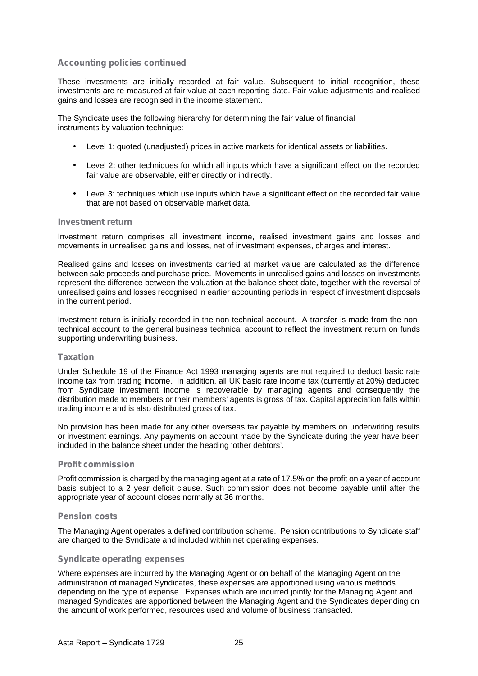These investments are initially recorded at fair value. Subsequent to initial recognition, these investments are re-measured at fair value at each reporting date. Fair value adjustments and realised gains and losses are recognised in the income statement.

The Syndicate uses the following hierarchy for determining the fair value of financial instruments by valuation technique:

- Level 1: quoted (unadjusted) prices in active markets for identical assets or liabilities.
- Level 2: other techniques for which all inputs which have a significant effect on the recorded fair value are observable, either directly or indirectly.
- Level 3: techniques which use inputs which have a significant effect on the recorded fair value that are not based on observable market data.

## **Investment return**

Investment return comprises all investment income, realised investment gains and losses and movements in unrealised gains and losses, net of investment expenses, charges and interest.

Realised gains and losses on investments carried at market value are calculated as the difference between sale proceeds and purchase price. Movements in unrealised gains and losses on investments represent the difference between the valuation at the balance sheet date, together with the reversal of unrealised gains and losses recognised in earlier accounting periods in respect of investment disposals in the current period.

Investment return is initially recorded in the non-technical account. A transfer is made from the nontechnical account to the general business technical account to reflect the investment return on funds supporting underwriting business.

#### **Taxation**

Under Schedule 19 of the Finance Act 1993 managing agents are not required to deduct basic rate income tax from trading income. In addition, all UK basic rate income tax (currently at 20%) deducted from Syndicate investment income is recoverable by managing agents and consequently the distribution made to members or their members' agents is gross of tax. Capital appreciation falls within trading income and is also distributed gross of tax.

No provision has been made for any other overseas tax payable by members on underwriting results or investment earnings. Any payments on account made by the Syndicate during the year have been included in the balance sheet under the heading 'other debtors'.

#### **Profit commission**

Profit commission is charged by the managing agent at a rate of 17.5% on the profit on a year of account basis subject to a 2 year deficit clause. Such commission does not become payable until after the appropriate year of account closes normally at 36 months.

#### **Pension costs**

The Managing Agent operates a defined contribution scheme. Pension contributions to Syndicate staff are charged to the Syndicate and included within net operating expenses.

#### **Syndicate operating expenses**

Where expenses are incurred by the Managing Agent or on behalf of the Managing Agent on the administration of managed Syndicates, these expenses are apportioned using various methods depending on the type of expense. Expenses which are incurred jointly for the Managing Agent and managed Syndicates are apportioned between the Managing Agent and the Syndicates depending on the amount of work performed, resources used and volume of business transacted.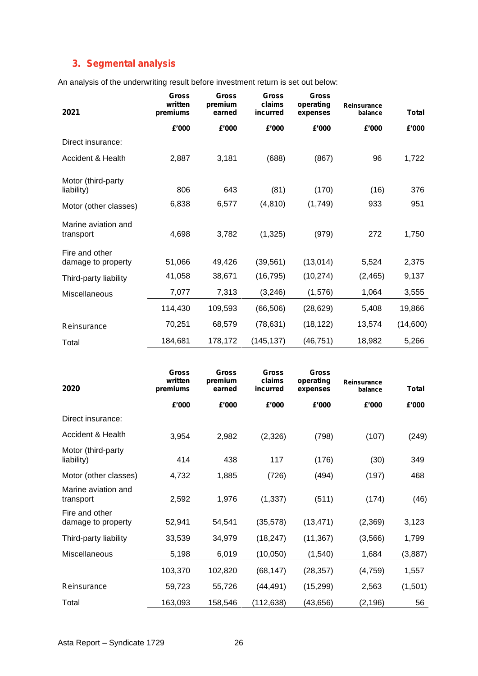# **3. Segmental analysis**

An analysis of the underwriting result before investment return is set out below:

| 2021                                 | <b>Gross</b><br>written<br>premiums | <b>Gross</b><br>premium<br>earned | <b>Gross</b><br>claims<br>incurred | <b>Gross</b><br>operating<br>expenses | Reinsurance<br>balance | <b>Total</b> |
|--------------------------------------|-------------------------------------|-----------------------------------|------------------------------------|---------------------------------------|------------------------|--------------|
|                                      | £'000                               | £'000                             | £'000                              | £'000                                 | £'000                  | £'000        |
| Direct insurance:                    |                                     |                                   |                                    |                                       |                        |              |
| Accident & Health                    | 2,887                               | 3,181                             | (688)                              | (867)                                 | 96                     | 1,722        |
| Motor (third-party<br>liability)     | 806                                 | 643                               | (81)                               | (170)                                 | (16)                   | 376          |
| Motor (other classes)                | 6,838                               | 6,577                             | (4, 810)                           | (1,749)                               | 933                    | 951          |
| Marine aviation and<br>transport     | 4,698                               | 3,782                             | (1, 325)                           | (979)                                 | 272                    | 1,750        |
| Fire and other<br>damage to property | 51,066                              | 49,426                            | (39, 561)                          | (13,014)                              | 5,524                  | 2,375        |
| Third-party liability                | 41,058                              | 38,671                            | (16, 795)                          | (10, 274)                             | (2, 465)               | 9,137        |
| Miscellaneous                        | 7,077                               | 7,313                             | (3,246)                            | (1,576)                               | 1,064                  | 3,555        |
|                                      | 114,430                             | 109,593                           | (66, 506)                          | (28, 629)                             | 5,408                  | 19,866       |
| Reinsurance                          | 70,251                              | 68,579                            | (78, 631)                          | (18, 122)                             | 13,574                 | (14,600)     |
| Total                                | 184,681                             | 178,172                           | (145, 137)                         | (46, 751)                             | 18,982                 | 5,266        |

| <b>Gross</b><br>written<br>premiums | <b>Gross</b><br>premium<br>earned | <b>Gross</b><br>claims<br>incurred | <b>Gross</b><br>operating<br>expenses | <b>Reinsurance</b><br>balance | <b>Total</b> |
|-------------------------------------|-----------------------------------|------------------------------------|---------------------------------------|-------------------------------|--------------|
| £'000                               | £'000                             | £'000                              | £'000                                 | £'000                         | £'000        |
|                                     |                                   |                                    |                                       |                               |              |
| 3,954                               | 2,982                             | (2,326)                            | (798)                                 | (107)                         | (249)        |
| 414                                 | 438                               | 117                                | (176)                                 | (30)                          | 349          |
| 4,732                               | 1,885                             | (726)                              | (494)                                 | (197)                         | 468          |
| 2,592                               | 1,976                             | (1, 337)                           | (511)                                 | (174)                         | (46)         |
| 52,941                              | 54,541                            | (35, 578)                          | (13, 471)                             | (2,369)                       | 3,123        |
| 33,539                              | 34,979                            | (18, 247)                          | (11, 367)                             | (3, 566)                      | 1,799        |
| 5,198                               | 6,019                             | (10,050)                           | (1, 540)                              | 1,684                         | (3,887)      |
| 103,370                             | 102,820                           | (68, 147)                          | (28, 357)                             | (4, 759)                      | 1,557        |
| 59,723                              | 55,726                            | (44,491)                           | (15, 299)                             | 2,563                         | (1,501)      |
| 163,093                             | 158,546                           | (112, 638)                         | (43, 656)                             | (2, 196)                      | 56           |
|                                     |                                   |                                    |                                       |                               |              |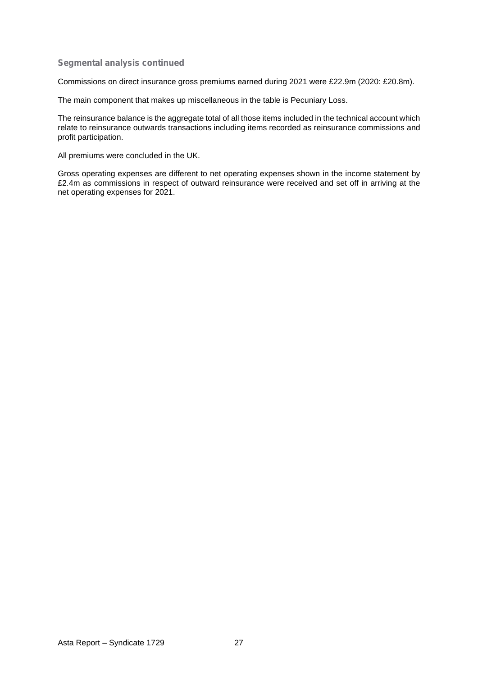#### **Segmental analysis continued**

Commissions on direct insurance gross premiums earned during 2021 were £22.9m (2020: £20.8m).

The main component that makes up miscellaneous in the table is Pecuniary Loss.

The reinsurance balance is the aggregate total of all those items included in the technical account which relate to reinsurance outwards transactions including items recorded as reinsurance commissions and profit participation.

All premiums were concluded in the UK.

Gross operating expenses are different to net operating expenses shown in the income statement by £2.4m as commissions in respect of outward reinsurance were received and set off in arriving at the net operating expenses for 2021.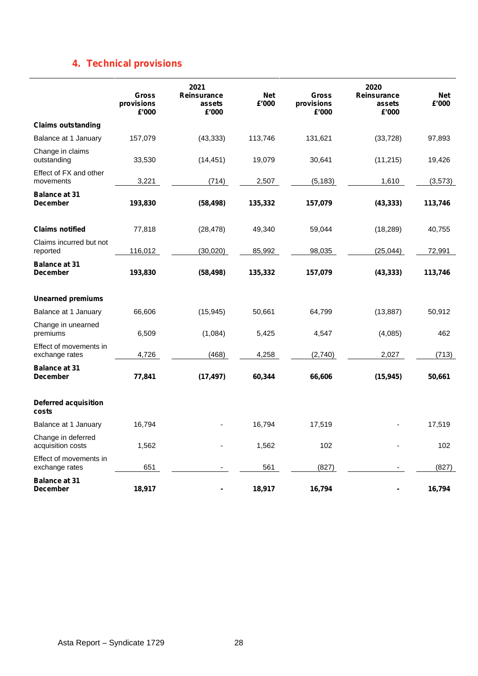# **4. Technical provisions**

|                                          | <b>Gross</b><br>provisions<br>£'000 | 2021<br>Reinsurance<br>assets<br>£'000 | <b>Net</b><br>£'000 | <b>Gross</b><br>provisions<br>£'000 | 2020<br>Reinsurance<br>assets<br>£'000 | <b>Net</b><br>£'000 |
|------------------------------------------|-------------------------------------|----------------------------------------|---------------------|-------------------------------------|----------------------------------------|---------------------|
| <b>Claims outstanding</b>                |                                     |                                        |                     |                                     |                                        |                     |
| Balance at 1 January                     | 157,079                             | (43, 333)                              | 113,746             | 131,621                             | (33, 728)                              | 97,893              |
| Change in claims<br>outstanding          | 33,530                              | (14, 451)                              | 19,079              | 30,641                              | (11, 215)                              | 19,426              |
| Effect of FX and other<br>movements      | 3,221                               | (714)                                  | 2,507               | (5, 183)                            | 1,610                                  | (3, 573)            |
| <b>Balance at 31</b><br><b>December</b>  | 193,830                             | (58, 498)                              | 135,332             | 157,079                             | (43, 333)                              | 113,746             |
| <b>Claims notified</b>                   | 77,818                              | (28, 478)                              | 49,340              | 59,044                              | (18, 289)                              | 40,755              |
| Claims incurred but not<br>reported      | 116,012                             | (30, 020)                              | 85,992              | 98,035                              | (25, 044)                              | 72,991              |
| <b>Balance at 31</b><br><b>December</b>  | 193,830                             | (58, 498)                              | 135,332             | 157,079                             | (43, 333)                              | 113,746             |
| <b>Unearned premiums</b>                 |                                     |                                        |                     |                                     |                                        |                     |
| Balance at 1 January                     | 66,606                              | (15, 945)                              | 50,661              | 64,799                              | (13, 887)                              | 50,912              |
| Change in unearned<br>premiums           | 6,509                               | (1,084)                                | 5,425               | 4,547                               | (4,085)                                | 462                 |
| Effect of movements in<br>exchange rates | 4,726                               | (468)                                  | 4,258               | (2,740)                             | 2,027                                  | (713)               |
| <b>Balance at 31</b><br><b>December</b>  | 77,841                              | (17, 497)                              | 60,344              | 66,606                              | (15, 945)                              | 50,661              |
| <b>Deferred acquisition</b><br>costs     |                                     |                                        |                     |                                     |                                        |                     |
| Balance at 1 January                     | 16,794                              |                                        | 16,794              | 17,519                              |                                        | 17,519              |
| Change in deferred<br>acquisition costs  | 1,562                               |                                        | 1,562               | 102                                 |                                        | 102                 |
| Effect of movements in<br>exchange rates | 651                                 |                                        | 561                 | (827)                               |                                        | (827)               |
| <b>Balance at 31</b><br><b>December</b>  | 18,917                              |                                        | 18,917              | 16,794                              | -                                      | 16,794              |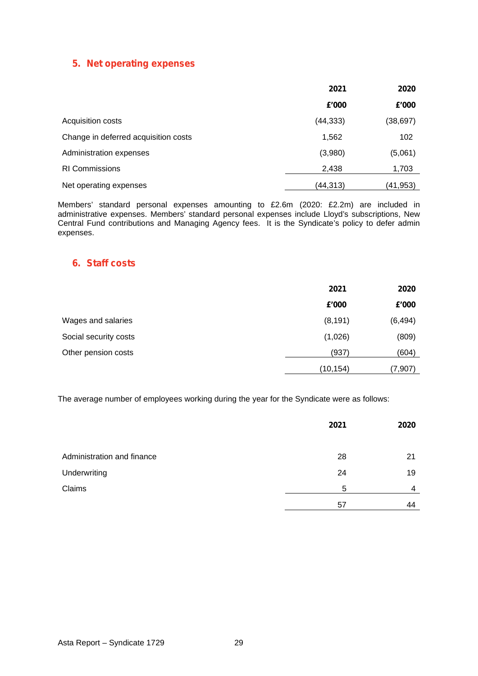## **5. Net operating expenses**

|                                      | 2021      | 2020      |  |
|--------------------------------------|-----------|-----------|--|
|                                      | £'000     | £'000     |  |
| Acquisition costs                    | (44, 333) | (38, 697) |  |
| Change in deferred acquisition costs | 1,562     | 102       |  |
| Administration expenses              | (3,980)   | (5,061)   |  |
| <b>RI Commissions</b>                | 2,438     | 1,703     |  |
| Net operating expenses               | (44,313)  | (41, 953) |  |

Members' standard personal expenses amounting to £2.6m (2020: £2.2m) are included in administrative expenses. Members' standard personal expenses include Lloyd's subscriptions, New Central Fund contributions and Managing Agency fees. It is the Syndicate's policy to defer admin expenses.

## **6. Staff costs**

|                       | 2021      | 2020     |  |
|-----------------------|-----------|----------|--|
|                       | £'000     | £'000    |  |
| Wages and salaries    | (8, 191)  | (6, 494) |  |
| Social security costs | (1,026)   | (809)    |  |
| Other pension costs   | (937)     | (604)    |  |
|                       | (10, 154) | (7, 907) |  |

The average number of employees working during the year for the Syndicate were as follows:

|                            | 2021 | 2020 |  |
|----------------------------|------|------|--|
|                            |      |      |  |
| Administration and finance | 28   | 21   |  |
| Underwriting               | 24   | 19   |  |
| Claims                     | 5    | 4    |  |
|                            | 57   | 44   |  |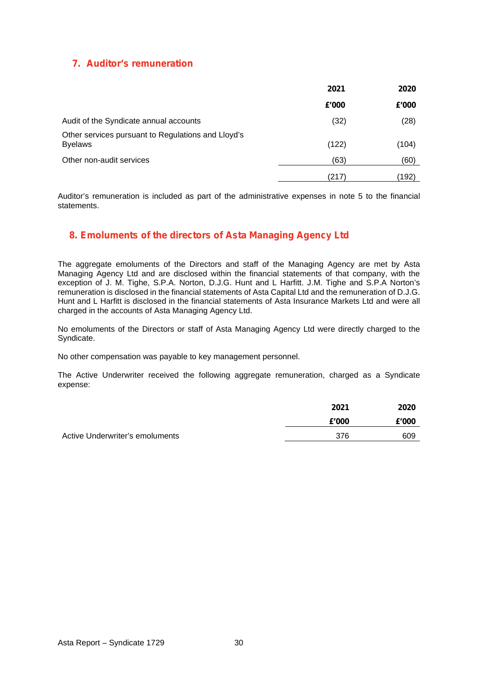## **7. Auditor's remuneration**

|                                                                      | 2021  | 2020  |  |
|----------------------------------------------------------------------|-------|-------|--|
|                                                                      | £'000 | £'000 |  |
| Audit of the Syndicate annual accounts                               | (32)  | (28)  |  |
| Other services pursuant to Regulations and Lloyd's<br><b>Byelaws</b> | (122) | (104) |  |
| Other non-audit services                                             | (63)  | (60)  |  |
|                                                                      | (217) | (192) |  |

Auditor's remuneration is included as part of the administrative expenses in note 5 to the financial statements.

## **8. Emoluments of the directors of Asta Managing Agency Ltd**

The aggregate emoluments of the Directors and staff of the Managing Agency are met by Asta Managing Agency Ltd and are disclosed within the financial statements of that company, with the exception of J. M. Tighe, S.P.A. Norton, D.J.G. Hunt and L Harfitt. J.M. Tighe and S.P.A Norton's remuneration is disclosed in the financial statements of Asta Capital Ltd and the remuneration of D.J.G. Hunt and L Harfitt is disclosed in the financial statements of Asta Insurance Markets Ltd and were all charged in the accounts of Asta Managing Agency Ltd.

No emoluments of the Directors or staff of Asta Managing Agency Ltd were directly charged to the Syndicate.

No other compensation was payable to key management personnel.

The Active Underwriter received the following aggregate remuneration, charged as a Syndicate expense:

|                                 | 2021  | 2020  |  |
|---------------------------------|-------|-------|--|
|                                 | £'000 | £'000 |  |
| Active Underwriter's emoluments | 376   | 609   |  |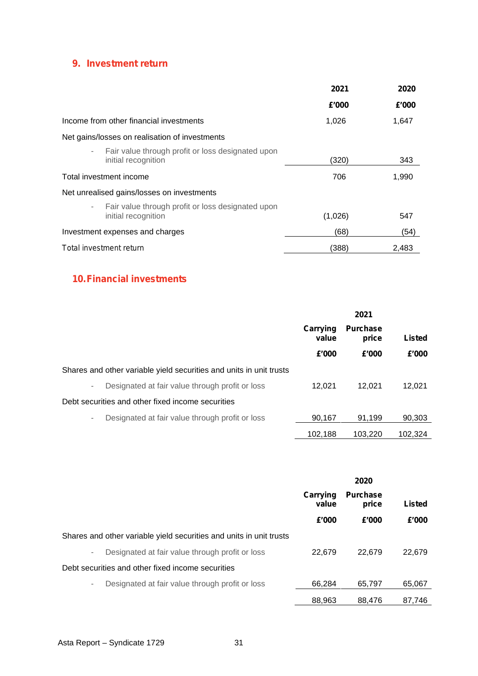# **9. Investment return**

|                                                                                                      | 2021    | 2020  |
|------------------------------------------------------------------------------------------------------|---------|-------|
|                                                                                                      | £'000   | £'000 |
| Income from other financial investments                                                              | 1,026   | 1,647 |
| Net gains/losses on realisation of investments                                                       |         |       |
| Fair value through profit or loss designated upon<br>٠<br>initial recognition                        | (320)   | 343   |
| Total investment income                                                                              | 706     | 1,990 |
| Net unrealised gains/losses on investments                                                           |         |       |
| Fair value through profit or loss designated upon<br>$\overline{\phantom{m}}$<br>initial recognition | (1,026) | 547   |
| Investment expenses and charges                                                                      | (68)    | (54)  |
| Total investment return                                                                              | (388)   | 2,483 |

# **10.Financial investments**

|                                                                             | 2021                       |                          |         |  |  |        |
|-----------------------------------------------------------------------------|----------------------------|--------------------------|---------|--|--|--------|
|                                                                             | Carrying<br>value<br>£'000 | <b>Purchase</b><br>price |         |  |  | Listed |
|                                                                             |                            | £'000                    | £'000   |  |  |        |
| Shares and other variable yield securities and units in unit trusts         |                            |                          |         |  |  |        |
| Designated at fair value through profit or loss<br>$\overline{\phantom{a}}$ | 12.021                     | 12.021                   | 12.021  |  |  |        |
| Debt securities and other fixed income securities                           |                            |                          |         |  |  |        |
| Designated at fair value through profit or loss<br>٠                        | 90,167                     | 91.199                   | 90,303  |  |  |        |
|                                                                             | 102,188                    | 103.220                  | 102,324 |  |  |        |

|                                                                             | 2020                                          |        |        |  |
|-----------------------------------------------------------------------------|-----------------------------------------------|--------|--------|--|
|                                                                             | Carrying<br><b>Purchase</b><br>value<br>price |        | Listed |  |
|                                                                             | £'000                                         | £'000  | £'000  |  |
| Shares and other variable yield securities and units in unit trusts         |                                               |        |        |  |
| Designated at fair value through profit or loss<br>$\overline{\phantom{a}}$ | 22.679                                        | 22.679 | 22,679 |  |
| Debt securities and other fixed income securities                           |                                               |        |        |  |
| Designated at fair value through profit or loss<br>۰.                       | 66.284                                        | 65.797 | 65,067 |  |
|                                                                             | 88.963                                        | 88.476 | 87,746 |  |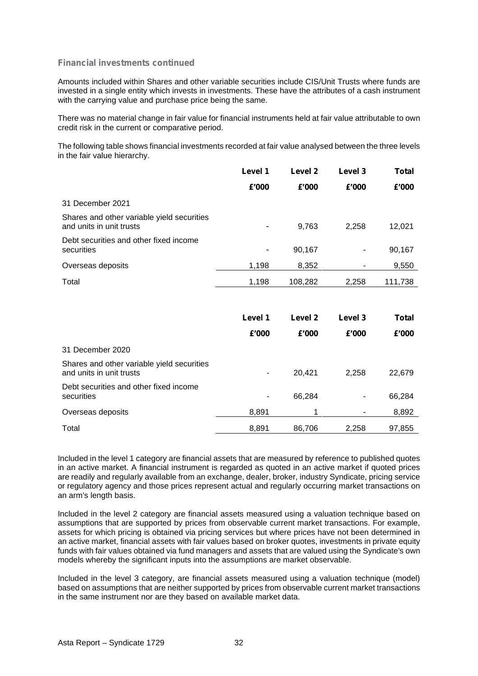#### **Financial investments continued**

Amounts included within Shares and other variable securities include CIS/Unit Trusts where funds are invested in a single entity which invests in investments. These have the attributes of a cash instrument with the carrying value and purchase price being the same.

There was no material change in fair value for financial instruments held at fair value attributable to own credit risk in the current or comparative period.

The following table shows financial investments recorded at fair value analysed between the three levels in the fair value hierarchy.

|                                                                        | Level 1                  | Level 2 | Level 3 | Total        |
|------------------------------------------------------------------------|--------------------------|---------|---------|--------------|
|                                                                        | £'000                    | £'000   | £'000   | £'000        |
| 31 December 2021                                                       |                          |         |         |              |
| Shares and other variable yield securities<br>and units in unit trusts |                          | 9,763   | 2,258   | 12,021       |
| Debt securities and other fixed income<br>securities                   | $\overline{\phantom{a}}$ | 90,167  |         | 90,167       |
| Overseas deposits                                                      | 1,198                    | 8,352   |         | 9,550        |
| Total                                                                  | 1,198                    | 108,282 | 2,258   | 111,738      |
|                                                                        | Level 1                  | Level 2 | Level 3 | <b>Total</b> |
|                                                                        | £'000                    | £'000   | £'000   | £'000        |
| 31 December 2020                                                       |                          |         |         |              |
| Shares and other variable yield securities<br>and units in unit trusts | ۰                        | 20,421  | 2,258   | 22,679       |
| Debt securities and other fixed income<br>securities                   | -                        | 66,284  |         | 66,284       |
|                                                                        |                          |         |         |              |

Total 8,891 86,706 2,258 97,855

Overseas deposits and the set of the set of the set of the set of the set of the set of the set of the set of the set of the set of the set of the set of the set of the set of the set of the set of the set of the set of th

Included in the level 1 category are financial assets that are measured by reference to published quotes in an active market. A financial instrument is regarded as quoted in an active market if quoted prices are readily and regularly available from an exchange, dealer, broker, industry Syndicate, pricing service or regulatory agency and those prices represent actual and regularly occurring market transactions on an arm's length basis.

Included in the level 2 category are financial assets measured using a valuation technique based on assumptions that are supported by prices from observable current market transactions. For example, assets for which pricing is obtained via pricing services but where prices have not been determined in an active market, financial assets with fair values based on broker quotes, investments in private equity funds with fair values obtained via fund managers and assets that are valued using the Syndicate's own models whereby the significant inputs into the assumptions are market observable.

Included in the level 3 category, are financial assets measured using a valuation technique (model) based on assumptions that are neither supported by prices from observable current market transactions in the same instrument nor are they based on available market data.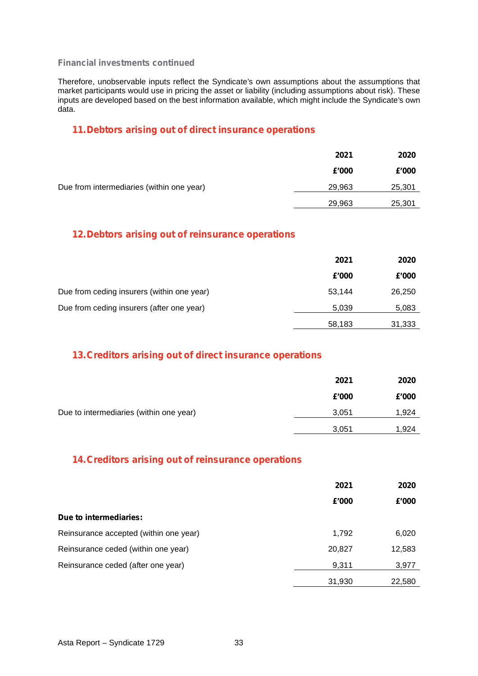#### **Financial investments continued**

Therefore, unobservable inputs reflect the Syndicate's own assumptions about the assumptions that market participants would use in pricing the asset or liability (including assumptions about risk). These inputs are developed based on the best information available, which might include the Syndicate's own data.

## **11.Debtors arising out of direct insurance operations**

|                                           | 2021   | 2020   |
|-------------------------------------------|--------|--------|
|                                           | £'000  | £'000  |
| Due from intermediaries (within one year) | 29,963 | 25,301 |
|                                           | 29,963 | 25,301 |

## **12.Debtors arising out of reinsurance operations**

|                                            | 2021<br>2020 |        |  |
|--------------------------------------------|--------------|--------|--|
|                                            | £'000        | £'000  |  |
| Due from ceding insurers (within one year) | 53,144       | 26,250 |  |
| Due from ceding insurers (after one year)  | 5,039        | 5,083  |  |
|                                            | 58,183       | 31,333 |  |

## **13.Creditors arising out of direct insurance operations**

|                                         | 2021  | 2020  |  |
|-----------------------------------------|-------|-------|--|
|                                         | £'000 | £'000 |  |
| Due to intermediaries (within one year) | 3,051 | 1,924 |  |
|                                         | 3,051 | 1,924 |  |

## **14.Creditors arising out of reinsurance operations**

|                                        | 2021   | 2020   |
|----------------------------------------|--------|--------|
|                                        | £'000  | £'000  |
| Due to intermediaries:                 |        |        |
| Reinsurance accepted (within one year) | 1,792  | 6,020  |
| Reinsurance ceded (within one year)    | 20,827 | 12,583 |
| Reinsurance ceded (after one year)     | 9,311  | 3,977  |
|                                        | 31,930 | 22,580 |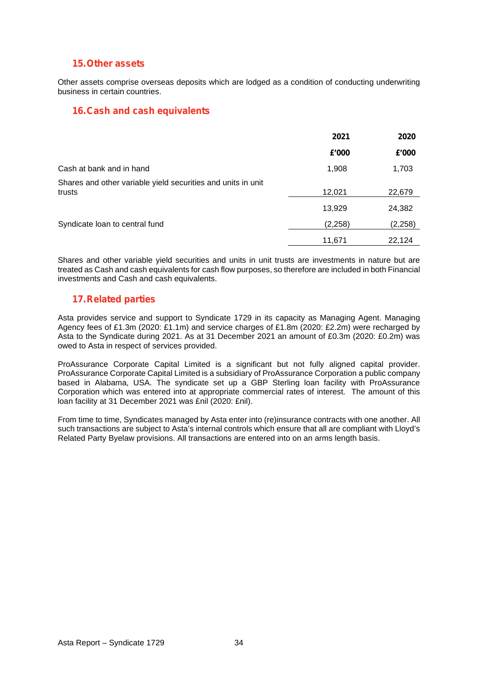## **15.Other assets**

Other assets comprise overseas deposits which are lodged as a condition of conducting underwriting business in certain countries.

## **16.Cash and cash equivalents**

|                                                                        | 2021     | 2020     |
|------------------------------------------------------------------------|----------|----------|
|                                                                        | £'000    | £'000    |
| Cash at bank and in hand                                               | 1,908    | 1,703    |
| Shares and other variable yield securities and units in unit<br>trusts | 12,021   | 22,679   |
|                                                                        | 13,929   | 24,382   |
| Syndicate loan to central fund                                         | (2, 258) | (2, 258) |
|                                                                        | 11,671   | 22,124   |

Shares and other variable yield securities and units in unit trusts are investments in nature but are treated as Cash and cash equivalents for cash flow purposes, so therefore are included in both Financial investments and Cash and cash equivalents.

## **17.Related parties**

Asta provides service and support to Syndicate 1729 in its capacity as Managing Agent. Managing Agency fees of £1.3m (2020: £1.1m) and service charges of £1.8m (2020: £2.2m) were recharged by Asta to the Syndicate during 2021. As at 31 December 2021 an amount of £0.3m (2020: £0.2m) was owed to Asta in respect of services provided.

ProAssurance Corporate Capital Limited is a significant but not fully aligned capital provider. ProAssurance Corporate Capital Limited is a subsidiary of ProAssurance Corporation a public company based in Alabama. USA. The syndicate set up a GBP Sterling loan facility with ProAssurance Corporation which was entered into at appropriate commercial rates of interest. The amount of this loan facility at 31 December 2021 was £nil (2020: £nil).

From time to time, Syndicates managed by Asta enter into (re)insurance contracts with one another. All such transactions are subject to Asta's internal controls which ensure that all are compliant with Lloyd's Related Party Byelaw provisions. All transactions are entered into on an arms length basis.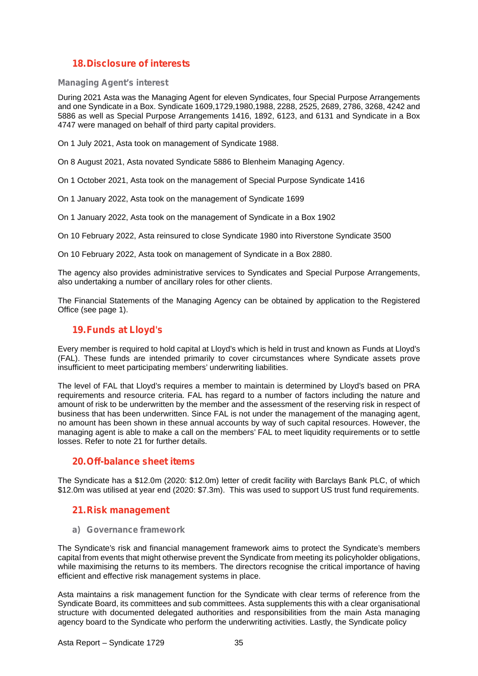## **18.Disclosure of interests**

#### **Managing Agent's interest**

During 2021 Asta was the Managing Agent for eleven Syndicates, four Special Purpose Arrangements and one Syndicate in a Box. Syndicate 1609,1729,1980,1988, 2288, 2525, 2689, 2786, 3268, 4242 and 5886 as well as Special Purpose Arrangements 1416, 1892, 6123, and 6131 and Syndicate in a Box 4747 were managed on behalf of third party capital providers.

On 1 July 2021, Asta took on management of Syndicate 1988.

On 8 August 2021, Asta novated Syndicate 5886 to Blenheim Managing Agency.

On 1 October 2021, Asta took on the management of Special Purpose Syndicate 1416

On 1 January 2022, Asta took on the management of Syndicate 1699

On 1 January 2022, Asta took on the management of Syndicate in a Box 1902

On 10 February 2022, Asta reinsured to close Syndicate 1980 into Riverstone Syndicate 3500

On 10 February 2022, Asta took on management of Syndicate in a Box 2880.

The agency also provides administrative services to Syndicates and Special Purpose Arrangements, also undertaking a number of ancillary roles for other clients.

The Financial Statements of the Managing Agency can be obtained by application to the Registered Office (see page 1).

## **19.Funds at Lloyd's**

Every member is required to hold capital at Lloyd's which is held in trust and known as Funds at Lloyd's (FAL). These funds are intended primarily to cover circumstances where Syndicate assets prove insufficient to meet participating members' underwriting liabilities.

The level of FAL that Lloyd's requires a member to maintain is determined by Lloyd's based on PRA requirements and resource criteria. FAL has regard to a number of factors including the nature and amount of risk to be underwritten by the member and the assessment of the reserving risk in respect of business that has been underwritten. Since FAL is not under the management of the managing agent, no amount has been shown in these annual accounts by way of such capital resources. However, the managing agent is able to make a call on the members' FAL to meet liquidity requirements or to settle losses. Refer to note 21 for further details.

## **20.Off-balance sheet items**

The Syndicate has a \$12.0m (2020: \$12.0m) letter of credit facility with Barclays Bank PLC, of which \$12.0m was utilised at year end (2020: \$7.3m). This was used to support US trust fund requirements.

## **21.Risk management**

**a) Governance framework**

The Syndicate's risk and financial management framework aims to protect the Syndicate's members capital from events that might otherwise prevent the Syndicate from meeting its policyholder obligations, while maximising the returns to its members. The directors recognise the critical importance of having efficient and effective risk management systems in place.

Asta maintains a risk management function for the Syndicate with clear terms of reference from the Syndicate Board, its committees and sub committees. Asta supplements this with a clear organisational structure with documented delegated authorities and responsibilities from the main Asta managing agency board to the Syndicate who perform the underwriting activities. Lastly, the Syndicate policy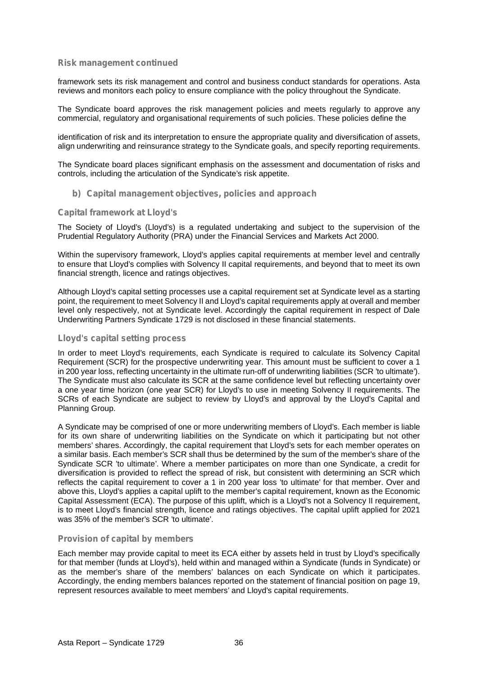framework sets its risk management and control and business conduct standards for operations. Asta reviews and monitors each policy to ensure compliance with the policy throughout the Syndicate.

The Syndicate board approves the risk management policies and meets regularly to approve any commercial, regulatory and organisational requirements of such policies. These policies define the

identification of risk and its interpretation to ensure the appropriate quality and diversification of assets, align underwriting and reinsurance strategy to the Syndicate goals, and specify reporting requirements.

The Syndicate board places significant emphasis on the assessment and documentation of risks and controls, including the articulation of the Syndicate's risk appetite.

#### **b) Capital management objectives, policies and approach**

#### **Capital framework at Lloyd's**

The Society of Lloyd's (Lloyd's) is a regulated undertaking and subject to the supervision of the Prudential Regulatory Authority (PRA) under the Financial Services and Markets Act 2000.

Within the supervisory framework, Lloyd's applies capital requirements at member level and centrally to ensure that Lloyd's complies with Solvency II capital requirements, and beyond that to meet its own financial strength, licence and ratings objectives.

Although Lloyd's capital setting processes use a capital requirement set at Syndicate level as a starting point, the requirement to meet Solvency II and Lloyd's capital requirements apply at overall and member level only respectively, not at Syndicate level. Accordingly the capital requirement in respect of Dale Underwriting Partners Syndicate 1729 is not disclosed in these financial statements.

#### **Lloyd's capital setting process**

In order to meet Lloyd's requirements, each Syndicate is required to calculate its Solvency Capital Requirement (SCR) for the prospective underwriting year. This amount must be sufficient to cover a 1 in 200 year loss, reflecting uncertainty in the ultimate run-off of underwriting liabilities (SCR 'to ultimate'). The Syndicate must also calculate its SCR at the same confidence level but reflecting uncertainty over a one year time horizon (one year SCR) for Lloyd's to use in meeting Solvency II requirements. The SCRs of each Syndicate are subject to review by Lloyd's and approval by the Lloyd's Capital and Planning Group.

A Syndicate may be comprised of one or more underwriting members of Lloyd's. Each member is liable for its own share of underwriting liabilities on the Syndicate on which it participating but not other members' shares. Accordingly, the capital requirement that Lloyd's sets for each member operates on a similar basis. Each member's SCR shall thus be determined by the sum of the member's share of the Syndicate SCR 'to ultimate'. Where a member participates on more than one Syndicate, a credit for diversification is provided to reflect the spread of risk, but consistent with determining an SCR which reflects the capital requirement to cover a 1 in 200 year loss 'to ultimate' for that member. Over and above this, Lloyd's applies a capital uplift to the member's capital requirement, known as the Economic Capital Assessment (ECA). The purpose of this uplift, which is a Lloyd's not a Solvency II requirement, is to meet Lloyd's financial strength, licence and ratings objectives. The capital uplift applied for 2021 was 35% of the member's SCR 'to ultimate'.

#### **Provision of capital by members**

Each member may provide capital to meet its ECA either by assets held in trust by Lloyd's specifically for that member (funds at Lloyd's), held within and managed within a Syndicate (funds in Syndicate) or as the member's share of the members' balances on each Syndicate on which it participates. Accordingly, the ending members balances reported on the statement of financial position on page 19, represent resources available to meet members' and Lloyd's capital requirements.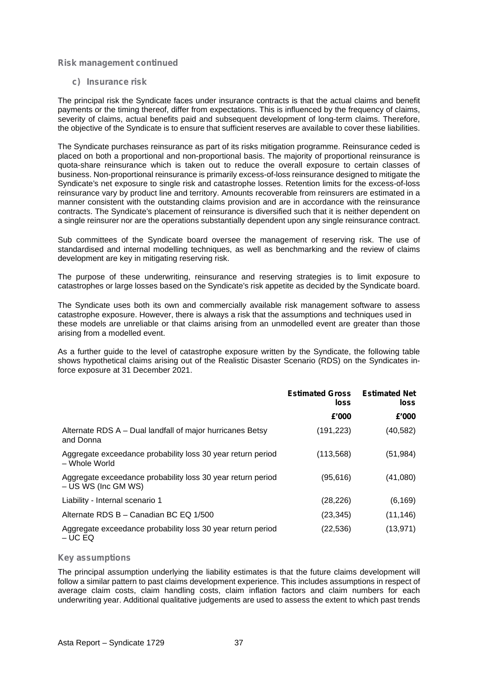#### **c) Insurance risk**

The principal risk the Syndicate faces under insurance contracts is that the actual claims and benefit payments or the timing thereof, differ from expectations. This is influenced by the frequency of claims, severity of claims, actual benefits paid and subsequent development of long-term claims. Therefore, the objective of the Syndicate is to ensure that sufficient reserves are available to cover these liabilities.

The Syndicate purchases reinsurance as part of its risks mitigation programme. Reinsurance ceded is placed on both a proportional and non-proportional basis. The majority of proportional reinsurance is quota-share reinsurance which is taken out to reduce the overall exposure to certain classes of business. Non-proportional reinsurance is primarily excess-of-loss reinsurance designed to mitigate the Syndicate's net exposure to single risk and catastrophe losses. Retention limits for the excess-of-loss reinsurance vary by product line and territory. Amounts recoverable from reinsurers are estimated in a manner consistent with the outstanding claims provision and are in accordance with the reinsurance contracts. The Syndicate's placement of reinsurance is diversified such that it is neither dependent on a single reinsurer nor are the operations substantially dependent upon any single reinsurance contract.

Sub committees of the Syndicate board oversee the management of reserving risk. The use of standardised and internal modelling techniques, as well as benchmarking and the review of claims development are key in mitigating reserving risk.

The purpose of these underwriting, reinsurance and reserving strategies is to limit exposure to catastrophes or large losses based on the Syndicate's risk appetite as decided by the Syndicate board.

The Syndicate uses both its own and commercially available risk management software to assess catastrophe exposure. However, there is always a risk that the assumptions and techniques used in these models are unreliable or that claims arising from an unmodelled event are greater than those arising from a modelled event.

As a further guide to the level of catastrophe exposure written by the Syndicate, the following table shows hypothetical claims arising out of the Realistic Disaster Scenario (RDS) on the Syndicates inforce exposure at 31 December 2021.

|                                                                                      | <b>Estimated Gross</b><br>loss | <b>Estimated Net</b><br>loss |  |
|--------------------------------------------------------------------------------------|--------------------------------|------------------------------|--|
|                                                                                      | £'000                          | £'000                        |  |
| Alternate RDS A – Dual landfall of major hurricanes Betsy<br>and Donna               | (191, 223)                     | (40, 582)                    |  |
| Aggregate exceedance probability loss 30 year return period<br>- Whole World         | (113, 568)                     | (51, 984)                    |  |
| Aggregate exceedance probability loss 30 year return period<br>$- US WS (Inc GM WS)$ | (95,616)                       | (41,080)                     |  |
| Liability - Internal scenario 1                                                      | (28, 226)                      | (6, 169)                     |  |
| Alternate RDS B - Canadian BC EQ 1/500                                               | (23, 345)                      | (11, 146)                    |  |
| Aggregate exceedance probability loss 30 year return period<br>$-$ UC EQ             | (22, 536)                      | (13, 971)                    |  |

#### **Key assumptions**

The principal assumption underlying the liability estimates is that the future claims development will follow a similar pattern to past claims development experience. This includes assumptions in respect of average claim costs, claim handling costs, claim inflation factors and claim numbers for each underwriting year. Additional qualitative judgements are used to assess the extent to which past trends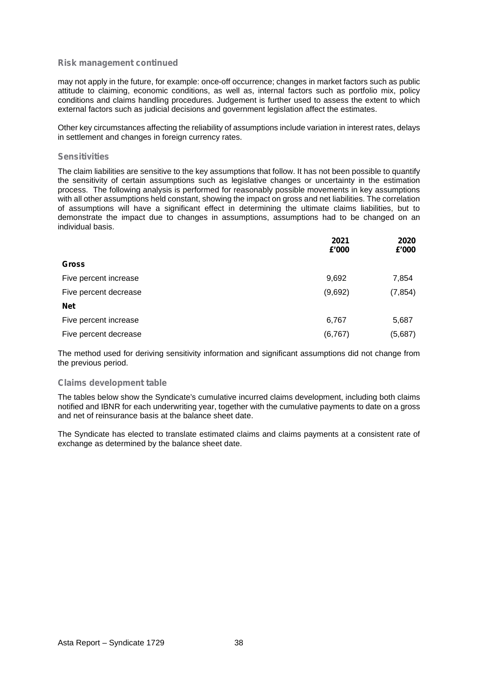may not apply in the future, for example: once-off occurrence; changes in market factors such as public attitude to claiming, economic conditions, as well as, internal factors such as portfolio mix, policy conditions and claims handling procedures. Judgement is further used to assess the extent to which external factors such as judicial decisions and government legislation affect the estimates.

Other key circumstances affecting the reliability of assumptions include variation in interest rates, delays in settlement and changes in foreign currency rates.

#### **Sensitivities**

The claim liabilities are sensitive to the key assumptions that follow. It has not been possible to quantify the sensitivity of certain assumptions such as legislative changes or uncertainty in the estimation process. The following analysis is performed for reasonably possible movements in key assumptions with all other assumptions held constant, showing the impact on gross and net liabilities. The correlation of assumptions will have a significant effect in determining the ultimate claims liabilities, but to demonstrate the impact due to changes in assumptions, assumptions had to be changed on an individual basis.

|                       | 2021<br>£'000 | 2020<br>£'000 |  |
|-----------------------|---------------|---------------|--|
| <b>Gross</b>          |               |               |  |
| Five percent increase | 9,692         | 7,854         |  |
| Five percent decrease | (9,692)       | (7, 854)      |  |
| <b>Net</b>            |               |               |  |
| Five percent increase | 6,767         | 5,687         |  |
| Five percent decrease | (6, 767)      | (5,687)       |  |

The method used for deriving sensitivity information and significant assumptions did not change from the previous period.

#### **Claims development table**

The tables below show the Syndicate's cumulative incurred claims development, including both claims notified and IBNR for each underwriting year, together with the cumulative payments to date on a gross and net of reinsurance basis at the balance sheet date.

The Syndicate has elected to translate estimated claims and claims payments at a consistent rate of exchange as determined by the balance sheet date.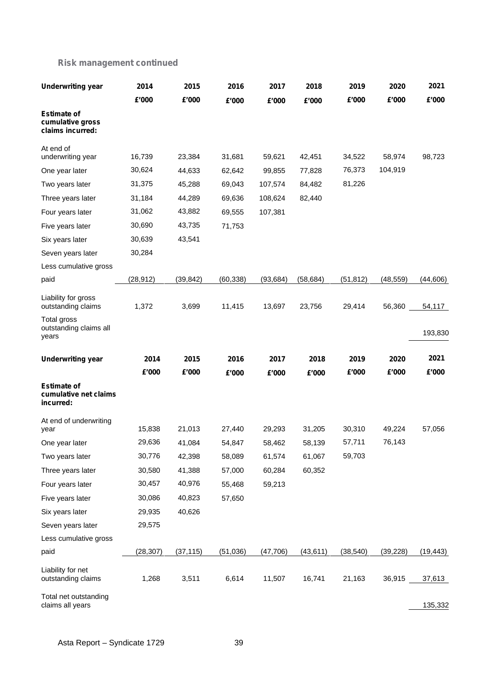| <b>Underwriting year</b>                                   | 2014      | 2015      | 2016      | 2017      | 2018      | 2019      | 2020      | 2021      |
|------------------------------------------------------------|-----------|-----------|-----------|-----------|-----------|-----------|-----------|-----------|
|                                                            | £'000     | £'000     | £'000     | £'000     | £'000     | £'000     | £'000     | £'000     |
| <b>Estimate of</b><br>cumulative gross<br>claims incurred: |           |           |           |           |           |           |           |           |
| At end of<br>underwriting year                             | 16,739    | 23,384    | 31,681    | 59,621    | 42,451    | 34,522    | 58,974    | 98,723    |
| One year later                                             | 30,624    | 44,633    | 62,642    | 99,855    | 77,828    | 76,373    | 104,919   |           |
| Two years later                                            | 31,375    | 45,288    | 69,043    | 107,574   | 84,482    | 81,226    |           |           |
| Three years later                                          | 31,184    | 44,289    | 69,636    | 108,624   | 82,440    |           |           |           |
| Four years later                                           | 31,062    | 43,882    | 69,555    | 107,381   |           |           |           |           |
| Five years later                                           | 30,690    | 43,735    | 71,753    |           |           |           |           |           |
| Six years later                                            | 30,639    | 43,541    |           |           |           |           |           |           |
| Seven years later                                          | 30,284    |           |           |           |           |           |           |           |
| Less cumulative gross                                      |           |           |           |           |           |           |           |           |
| paid                                                       | (28, 912) | (39, 842) | (60, 338) | (93, 684) | (58, 684) | (51, 812) | (48, 559) | (44, 606) |
| Liability for gross<br>outstanding claims                  | 1,372     | 3,699     | 11,415    | 13,697    | 23,756    | 29,414    | 56,360    | 54,117    |
| Total gross<br>outstanding claims all<br>years             |           |           |           |           |           |           |           | 193,830   |
| <b>Underwriting year</b>                                   | 2014      | 2015      | 2016      | 2017      | 2018      | 2019      | 2020      | 2021      |
|                                                            | £'000     | £'000     | £'000     | £'000     | £'000     | £'000     | £'000     | £'000     |
| <b>Estimate of</b><br>cumulative net claims<br>incurred:   |           |           |           |           |           |           |           |           |
| At end of underwriting<br>year                             | 15,838    | 21,013    | 27,440    | 29,293    | 31,205    | 30,310    | 49,224    | 57,056    |
| One year later                                             | 29,636    | 41,084    | 54,847    | 58,462    | 58,139    | 57,711    | 76,143    |           |
| Two years later                                            | 30,776    | 42,398    | 58,089    | 61,574    | 61,067    | 59,703    |           |           |
| Three years later                                          | 30,580    | 41,388    | 57,000    | 60,284    | 60,352    |           |           |           |
| Four years later                                           | 30,457    | 40,976    | 55,468    | 59,213    |           |           |           |           |
| Five years later                                           | 30,086    | 40,823    | 57,650    |           |           |           |           |           |
| Six years later                                            | 29,935    | 40,626    |           |           |           |           |           |           |
| Seven years later                                          | 29,575    |           |           |           |           |           |           |           |
| Less cumulative gross                                      |           |           |           |           |           |           |           |           |
| paid                                                       | (28, 307) | (37, 115) | (51,036)  | (47, 706) | (43, 611) | (38, 540) | (39, 228) | (19, 443) |
| Liability for net<br>outstanding claims                    | 1,268     | 3,511     | 6,614     | 11,507    | 16,741    | 21,163    | 36,915    | 37,613    |
| Total net outstanding<br>claims all years                  |           |           |           |           |           |           |           | 135,332   |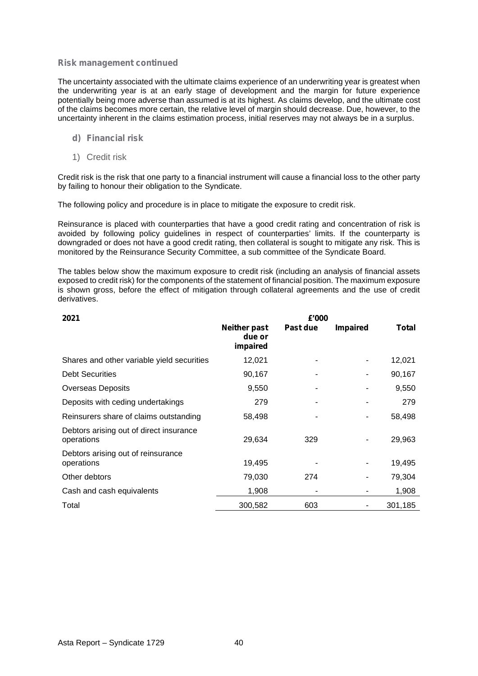The uncertainty associated with the ultimate claims experience of an underwriting year is greatest when the underwriting year is at an early stage of development and the margin for future experience potentially being more adverse than assumed is at its highest. As claims develop, and the ultimate cost of the claims becomes more certain, the relative level of margin should decrease. Due, however, to the uncertainty inherent in the claims estimation process, initial reserves may not always be in a surplus.

- **d) Financial risk**
- 1) Credit risk

Credit risk is the risk that one party to a financial instrument will cause a financial loss to the other party by failing to honour their obligation to the Syndicate.

The following policy and procedure is in place to mitigate the exposure to credit risk.

Reinsurance is placed with counterparties that have a good credit rating and concentration of risk is avoided by following policy guidelines in respect of counterparties' limits. If the counterparty is downgraded or does not have a good credit rating, then collateral is sought to mitigate any risk. This is monitored by the Reinsurance Security Committee, a sub committee of the Syndicate Board.

The tables below show the maximum exposure to credit risk (including an analysis of financial assets exposed to credit risk) for the components of the statement of financial position. The maximum exposure is shown gross, before the effect of mitigation through collateral agreements and the use of credit derivatives.

| 2021                                                  | £'000                                     |          |                 |         |  |
|-------------------------------------------------------|-------------------------------------------|----------|-----------------|---------|--|
|                                                       | <b>Neither past</b><br>due or<br>impaired | Past due | <b>Impaired</b> | Total   |  |
| Shares and other variable yield securities            | 12,021                                    | ۰        | ٠               | 12,021  |  |
| <b>Debt Securities</b>                                | 90,167                                    |          | $\blacksquare$  | 90,167  |  |
| <b>Overseas Deposits</b>                              | 9,550                                     | ۰        | -               | 9,550   |  |
| Deposits with ceding undertakings                     | 279                                       |          |                 | 279     |  |
| Reinsurers share of claims outstanding                | 58,498                                    |          | ٠               | 58,498  |  |
| Debtors arising out of direct insurance<br>operations | 29,634                                    | 329      | ٠               | 29,963  |  |
| Debtors arising out of reinsurance<br>operations      | 19,495                                    |          | $\blacksquare$  | 19,495  |  |
| Other debtors                                         | 79,030                                    | 274      |                 | 79,304  |  |
| Cash and cash equivalents                             | 1,908                                     | ٠        | ۰               | 1,908   |  |
| Total                                                 | 300,582                                   | 603      |                 | 301,185 |  |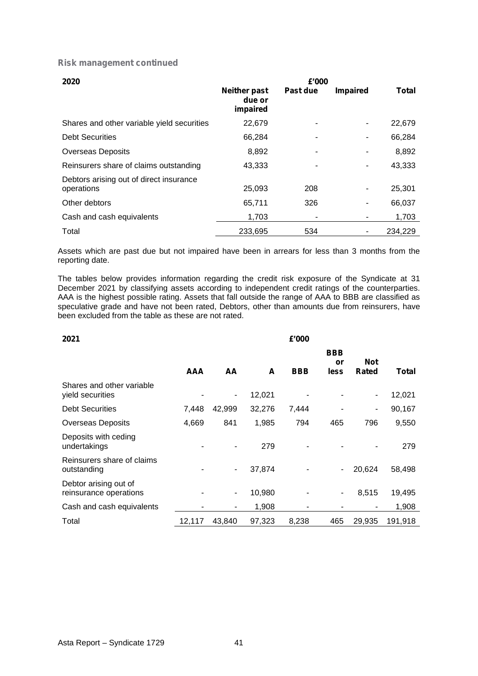| 2020                                                  |                                           | £'000    |                 |              |  |
|-------------------------------------------------------|-------------------------------------------|----------|-----------------|--------------|--|
|                                                       | <b>Neither past</b><br>due or<br>impaired | Past due | <b>Impaired</b> | <b>Total</b> |  |
| Shares and other variable yield securities            | 22,679                                    | ۰        | ٠               | 22,679       |  |
| <b>Debt Securities</b>                                | 66,284                                    |          | ٠               | 66,284       |  |
| <b>Overseas Deposits</b>                              | 8,892                                     | -        | ٠               | 8,892        |  |
| Reinsurers share of claims outstanding                | 43,333                                    |          | ۰               | 43,333       |  |
| Debtors arising out of direct insurance<br>operations | 25,093                                    | 208      | ۰               | 25,301       |  |
| Other debtors                                         | 65,711                                    | 326      | ۰               | 66,037       |  |
| Cash and cash equivalents                             | 1,703                                     | ۰        | ۰               | 1,703        |  |
| Total                                                 | 233,695                                   | 534      |                 | 234,229      |  |

Assets which are past due but not impaired have been in arrears for less than 3 months from the reporting date.

The tables below provides information regarding the credit risk exposure of the Syndicate at 31 December 2021 by classifying assets according to independent credit ratings of the counterparties. AAA is the highest possible rating. Assets that fall outside the range of AAA to BBB are classified as speculative grade and have not been rated, Debtors, other than amounts due from reinsurers, have been excluded from the table as these are not rated.

| 2021                                            |            |                |        | £'000      |                          |                     |         |  |
|-------------------------------------------------|------------|----------------|--------|------------|--------------------------|---------------------|---------|--|
|                                                 | <b>AAA</b> | AA             | A      | <b>BBB</b> | <b>BBB</b><br>or<br>less | <b>Not</b><br>Rated | Total   |  |
| Shares and other variable<br>yield securities   |            | $\blacksquare$ | 12,021 |            | ٠                        | ۰                   | 12,021  |  |
| <b>Debt Securities</b>                          | 7,448      | 42,999         | 32,276 | 7,444      | ٠                        | ۰                   | 90,167  |  |
| Overseas Deposits                               | 4,669      | 841            | 1,985  | 794        | 465                      | 796                 | 9,550   |  |
| Deposits with ceding<br>undertakings            |            |                | 279    |            |                          |                     | 279     |  |
| Reinsurers share of claims<br>outstanding       |            | $\blacksquare$ | 37,874 |            | $\blacksquare$           | 20,624              | 58,498  |  |
| Debtor arising out of<br>reinsurance operations |            | $\blacksquare$ | 10,980 |            | $\overline{\phantom{a}}$ | 8,515               | 19,495  |  |
| Cash and cash equivalents                       | ۰          |                | 1,908  |            | ٠                        |                     | 1,908   |  |
| Total                                           | 12,117     | 43,840         | 97,323 | 8,238      | 465                      | 29,935              | 191,918 |  |

#### Asta Report – Syndicate 1729 41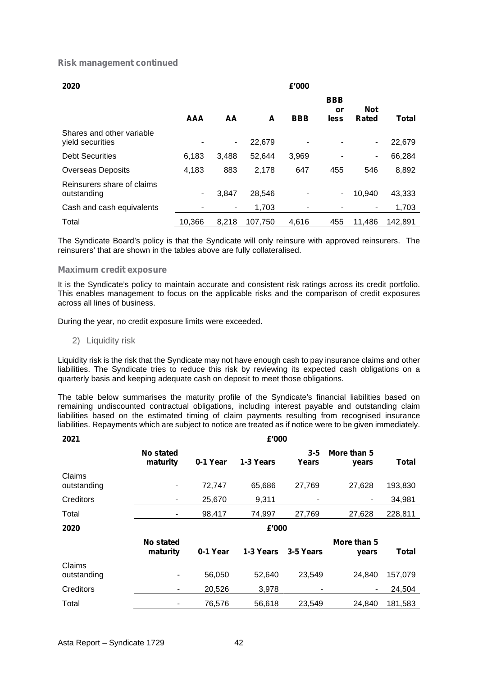| 2020                                          |            | £'000          |         |            |                          |                     |              |  |
|-----------------------------------------------|------------|----------------|---------|------------|--------------------------|---------------------|--------------|--|
|                                               | <b>AAA</b> | AA             | A       | <b>BBB</b> | <b>BBB</b><br>or<br>less | <b>Not</b><br>Rated | <b>Total</b> |  |
| Shares and other variable<br>yield securities | ۰          | $\blacksquare$ | 22,679  |            | ۰                        |                     | 22,679       |  |
| <b>Debt Securities</b>                        | 6,183      | 3,488          | 52,644  | 3,969      | ٠                        | ٠                   | 66,284       |  |
| <b>Overseas Deposits</b>                      | 4,183      | 883            | 2,178   | 647        | 455                      | 546                 | 8,892        |  |
| Reinsurers share of claims<br>outstanding     | ٠          | 3.847          | 28,546  |            | $\blacksquare$           | 10.940              | 43,333       |  |
| Cash and cash equivalents                     |            | ۰.             | 1,703   |            | ٠                        |                     | 1,703        |  |
| Total                                         | 10,366     | 8,218          | 107.750 | 4.616      | 455                      | 11.486              | 142.891      |  |

The Syndicate Board's policy is that the Syndicate will only reinsure with approved reinsurers. The reinsurers' that are shown in the tables above are fully collateralised.

#### **Maximum credit exposure**

It is the Syndicate's policy to maintain accurate and consistent risk ratings across its credit portfolio. This enables management to focus on the applicable risks and the comparison of credit exposures across all lines of business.

During the year, no credit exposure limits were exceeded.

2) Liquidity risk

Liquidity risk is the risk that the Syndicate may not have enough cash to pay insurance claims and other liabilities. The Syndicate tries to reduce this risk by reviewing its expected cash obligations on a quarterly basis and keeping adequate cash on deposit to meet those obligations.

The table below summarises the maturity profile of the Syndicate's financial liabilities based on remaining undiscounted contractual obligations, including interest payable and outstanding claim liabilities based on the estimated timing of claim payments resulting from recognised insurance liabilities. Repayments which are subject to notice are treated as if notice were to be given immediately.

| 2021                  |                              |          | £'000     |                     |                      |              |  |
|-----------------------|------------------------------|----------|-----------|---------------------|----------------------|--------------|--|
|                       | <b>No stated</b><br>maturity | 0-1 Year | 1-3 Years | $3 - 5$<br>Years    | More than 5<br>years | <b>Total</b> |  |
| Claims<br>outstanding | $\blacksquare$               | 72,747   | 65,686    | 27,769              | 27,628               | 193,830      |  |
| Creditors             | ۰                            | 25,670   | 9,311     |                     | ۰                    | 34,981       |  |
| Total                 | ٠                            | 98,417   | 74,997    | 27,769              | 27,628               | 228,811      |  |
| 2020                  | £'000                        |          |           |                     |                      |              |  |
|                       | No stated<br>maturity        | 0-1 Year |           | 1-3 Years 3-5 Years | More than 5<br>years | <b>Total</b> |  |
| Claims<br>outstanding | ۰                            | 56,050   | 52,640    | 23,549              | 24,840               | 157,079      |  |
| Creditors             |                              | 20,526   | 3,978     | ٠                   |                      | 24,504       |  |
| Total                 |                              | 76,576   | 56,618    | 23,549              | 24.840               | 181,583      |  |
|                       |                              |          |           |                     |                      |              |  |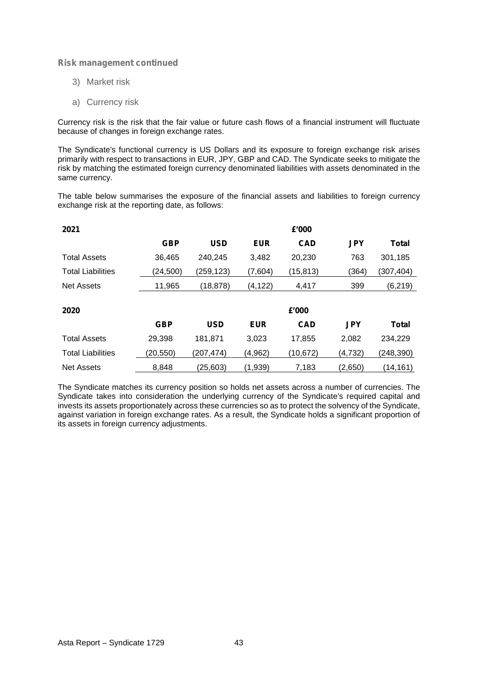- 3) Market risk
- a) Currency risk

Currency risk is the risk that the fair value or future cash flows of a financial instrument will fluctuate because of changes in foreign exchange rates.

The Syndicate's functional currency is US Dollars and its exposure to foreign exchange risk arises primarily with respect to transactions in EUR, JPY, GBP and CAD. The Syndicate seeks to mitigate the risk by matching the estimated foreign currency denominated liabilities with assets denominated in the same currency.

The table below summarises the exposure of the financial assets and liabilities to foreign currency exchange risk at the reporting date, as follows:

| 2021                     |            |            |            | £'000      |            |              |
|--------------------------|------------|------------|------------|------------|------------|--------------|
|                          | <b>GBP</b> | <b>USD</b> | <b>EUR</b> | <b>CAD</b> | <b>JPY</b> | <b>Total</b> |
| <b>Total Assets</b>      | 36,465     | 240,245    | 3,482      | 20,230     | 763        | 301,185      |
| <b>Total Liabilities</b> | (24, 500)  | (259, 123) | (7,604)    | (15, 813)  | (364)      | (307, 404)   |
| Net Assets               | 11,965     | (18, 878)  | (4, 122)   | 4,417      | 399        | (6, 219)     |
| 2020                     |            |            |            | £'000      |            |              |
|                          | <b>GBP</b> | <b>USD</b> | <b>EUR</b> | <b>CAD</b> | <b>JPY</b> | <b>Total</b> |
| <b>Total Assets</b>      | 29,398     | 181,871    | 3,023      | 17,855     | 2,082      | 234,229      |
| <b>Total Liabilities</b> | (20, 550)  | (207, 474) | (4, 962)   | (10, 672)  | (4, 732)   | (248, 390)   |
| <b>Net Assets</b>        | 8,848      | (25, 603)  | (1,939)    | 7,183      | (2,650)    | (14, 161)    |

The Syndicate matches its currency position so holds net assets across a number of currencies. The Syndicate takes into consideration the underlying currency of the Syndicate's required capital and invests its assets proportionately across these currencies so as to protect the solvency of the Syndicate, against variation in foreign exchange rates. As a result, the Syndicate holds a significant proportion of its assets in foreign currency adjustments.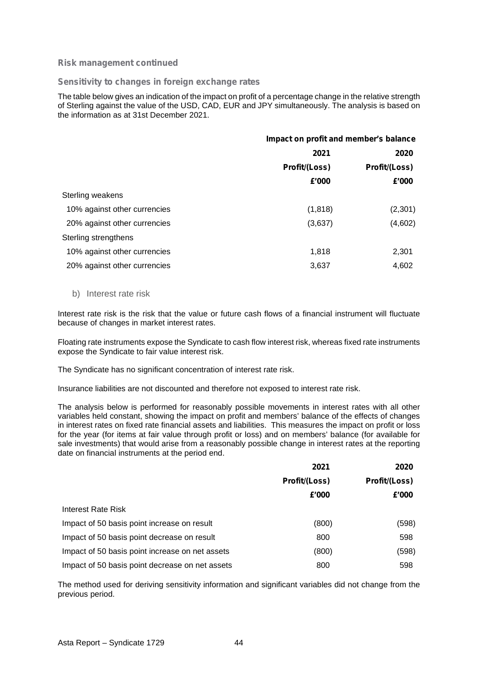#### **Sensitivity to changes in foreign exchange rates**

The table below gives an indication of the impact on profit of a percentage change in the relative strength of Sterling against the value of the USD, CAD, EUR and JPY simultaneously. The analysis is based on the information as at 31st December 2021.

|                              | Impact on profit and member's balance |                       |  |  |  |
|------------------------------|---------------------------------------|-----------------------|--|--|--|
|                              | 2021                                  | 2020<br>Profit/(Loss) |  |  |  |
|                              | Profit/(Loss)                         |                       |  |  |  |
|                              | £'000                                 | £'000                 |  |  |  |
| Sterling weakens             |                                       |                       |  |  |  |
| 10% against other currencies | (1,818)                               | (2,301)               |  |  |  |
| 20% against other currencies | (3,637)                               | (4,602)               |  |  |  |
| Sterling strengthens         |                                       |                       |  |  |  |
| 10% against other currencies | 1,818                                 | 2,301                 |  |  |  |
| 20% against other currencies | 3,637                                 | 4,602                 |  |  |  |
|                              |                                       |                       |  |  |  |

#### b) Interest rate risk

Interest rate risk is the risk that the value or future cash flows of a financial instrument will fluctuate because of changes in market interest rates.

Floating rate instruments expose the Syndicate to cash flow interest risk, whereas fixed rate instruments expose the Syndicate to fair value interest risk.

The Syndicate has no significant concentration of interest rate risk.

Insurance liabilities are not discounted and therefore not exposed to interest rate risk.

The analysis below is performed for reasonably possible movements in interest rates with all other variables held constant, showing the impact on profit and members' balance of the effects of changes in interest rates on fixed rate financial assets and liabilities. This measures the impact on profit or loss for the year (for items at fair value through profit or loss) and on members' balance (for available for sale investments) that would arise from a reasonably possible change in interest rates at the reporting date on financial instruments at the period end.

|                                                 | 2021          | 2020          |
|-------------------------------------------------|---------------|---------------|
|                                                 | Profit/(Loss) | Profit/(Loss) |
|                                                 | £'000         | £'000         |
| Interest Rate Risk                              |               |               |
| Impact of 50 basis point increase on result     | (800)         | (598)         |
| Impact of 50 basis point decrease on result     | 800           | 598           |
| Impact of 50 basis point increase on net assets | (800)         | (598)         |
| Impact of 50 basis point decrease on net assets | 800           | 598           |

The method used for deriving sensitivity information and significant variables did not change from the previous period.